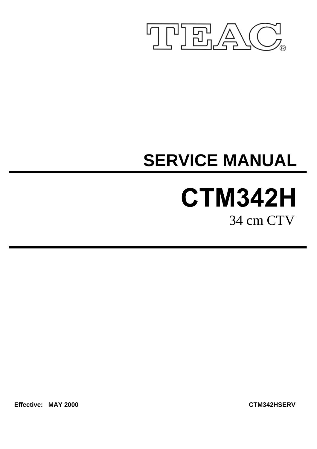

# **SERVICE MANUAL**

# **CTM342H** 34 cm CTV

**Effective: MAY 2000 CTM342HSERV**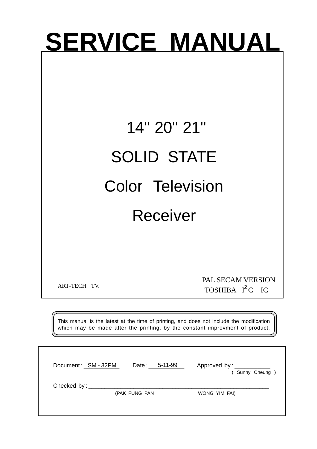# **SERVICE MANUAL**

# 14" 20" 21" SOLID STATE Color Television Receiver

ART-TECH. TV.

TOSHIBA  $I^2C$  IC PAL SECAM VERSION

This manual is the latest at the time of printing, and does not include the modification which may be made after the printing, by the constant improvment of product.

| Document: SM - 32PM                 | Date: 5-11-99 | Approved by: _________<br>(Sunny Cheung) |
|-------------------------------------|---------------|------------------------------------------|
| Checked by: $\_\_$<br>(PAK FUNG PAN | WONG YIM FAI) |                                          |
|                                     |               |                                          |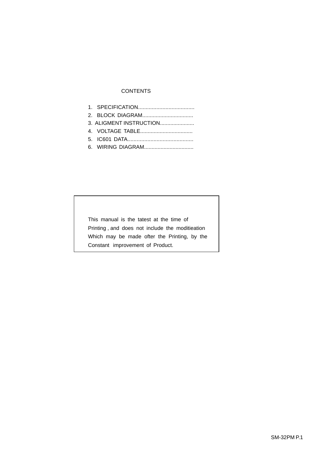#### **CONTENTS**

| 3. ALIGMENT INSTRUCTION |
|-------------------------|
|                         |
|                         |
|                         |

This manual is the tatest at the time of Printing , and does not include the moditieation Which may be made ofter the Printing, by the Constant improvement of Product.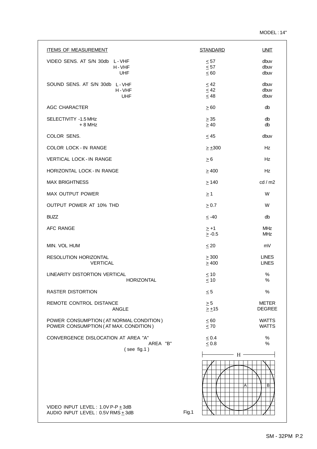| <b>ITEMS OF MEASUREMENT</b>                                                      | <b>STANDARD</b>                     | <b>UNIT</b>                   |
|----------------------------------------------------------------------------------|-------------------------------------|-------------------------------|
| VIDEO SENS. AT S/N 30db L-VHF<br>H-VHF<br><b>UHF</b>                             | $\leq 57$<br>$\leq 57$<br>$\leq 60$ | dbuv<br>dbuv<br>dbuv          |
| SOUND SENS. AT S/N 30db L-VHF<br>H-VHF<br>UHF                                    | $\leq 42$<br>$\leq 42$<br>$\leq 48$ | dbuv<br>dbuv<br>dbuv          |
| AGC CHARACTER                                                                    | $\geq 60$                           | db                            |
| SELECTIVITY -1.5 MHz<br>$+8$ MHz                                                 | $\geq$ 35<br>$\geq 40$              | db<br>db                      |
| COLOR SENS.                                                                      | $\leq$ 45                           | dbuv                          |
| <b>COLOR LOCK-IN RANGE</b>                                                       | $\geq \pm 300$                      | Hz                            |
| <b>VERTICAL LOCK - IN RANGE</b>                                                  | $\geq 6$                            | Hz                            |
| HORIZONTAL LOCK - IN RANGE                                                       | $\geq 400$                          | Hz                            |
| <b>MAX BRIGHTNESS</b>                                                            | $\geq$ 140                          | cd/m2                         |
| MAX OUTPUT POWER                                                                 | $\geq$ 1                            | W                             |
| OUTPUT POWER AT 10% THD                                                          | $\geq 0.7$                          | W                             |
| <b>BUZZ</b>                                                                      | $~<$ -40                            | db                            |
| AFC RANGE                                                                        | $\geq +1$<br>$\geq -0.5$            | <b>MHz</b><br><b>MHz</b>      |
| MIN. VOL HUM                                                                     | $\leq 20$                           | mV                            |
| RESOLUTION HORIZONTAL<br><b>VERTICAL</b>                                         | $\geq 300$<br>$\geq 400$            | <b>LINES</b><br><b>LINES</b>  |
| LINEARITY DISTORTION VERTICAL<br>HORIZONTAL                                      | $~<$ 10<br>$\leq 10$                | $\%$<br>$\%$                  |
| <b>RASTER DISTORTION</b>                                                         | $\leq 5$                            | $\%$                          |
| REMOTE CONTROL DISTANCE<br><b>ANGLE</b>                                          | $\geq 5$<br>$\geq \pm 15$           | <b>METER</b><br><b>DEGREE</b> |
| POWER CONSUMPTION (AT NORMAL CONDITION)<br>POWER CONSUMPTION (AT MAX. CONDITION) | $\leq 60$<br>$\leq 70$              | <b>WATTS</b><br><b>WATTS</b>  |
| CONVERGENCE DISLOCATION AT AREA "A"<br>AREA "B"<br>$($ see fig.1)                | $\leq 0.4$<br>$\leq 0.8$            | $\%$<br>%                     |
| VIDEO INPUT LEVEL: $1.0V$ P-P $\pm$ 3dB<br>AUDIO INPUT LEVEL: 0.5V RMS + 3dB     | H<br>Fig.1                          | В<br>Α                        |
|                                                                                  |                                     |                               |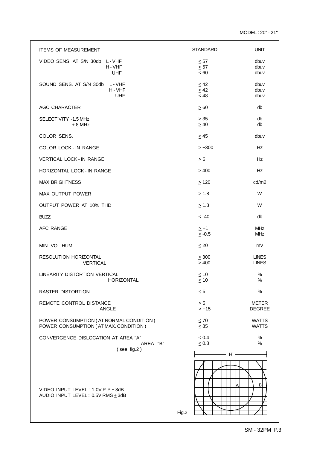| <b>ITEMS OF MEASUREMENT</b>                                                      | <b>STANDARD</b>                     | <b>UNIT</b>                   |
|----------------------------------------------------------------------------------|-------------------------------------|-------------------------------|
| VIDEO SENS. AT S/N 30db L-VHF<br>H-VHF<br><b>UHF</b>                             | $\leq 57$<br>$\leq 57$<br>$\leq 60$ | dbuv<br>dbuv<br>dbuv          |
| SOUND SENS. AT S/N 30db L-VHF<br>H-VHF<br><b>UHF</b>                             | $\leq 42$<br>$\leq 42$<br>$\leq 48$ | dbuv<br>dbuv<br>dbuv          |
| AGC CHARACTER                                                                    | $\geq 60$                           | db                            |
| SELECTIVITY -1.5 MHz<br>$+8$ MHz                                                 | $\geq 35$<br>$\geq 40$              | db<br>db                      |
| COLOR SENS.                                                                      | $\leq$ 45                           | dbuv                          |
| <b>COLOR LOCK - IN RANGE</b>                                                     | $\geq \pm 300$                      | Hz                            |
| <b>VERTICAL LOCK - IN RANGE</b>                                                  | $\geq 6$                            | Hz                            |
| HORIZONTAL LOCK - IN RANGE                                                       | $\geq 400$                          | <b>Hz</b>                     |
| <b>MAX BRIGHTNESS</b>                                                            | $\geq$ 120                          | cd/m2                         |
| MAX OUTPUT POWER                                                                 | $\geq 1.8$                          | W                             |
| OUTPUT POWER AT 10% THD                                                          | > 1.3                               | W                             |
| <b>BUZZ</b>                                                                      | $\leq -40$                          | db                            |
| <b>AFC RANGE</b>                                                                 | $\geq +1$<br>$\geq -0.5$            | <b>MHz</b><br><b>MHz</b>      |
| MIN. VOL HUM                                                                     | $\leq 20$                           | mV                            |
| RESOLUTION HORIZONTAL<br><b>VERTICAL</b>                                         | $\geq 300$<br>$\geq 400$            | <b>LINES</b><br><b>LINES</b>  |
| LINEARITY DISTORTION VERTICAL<br>HORIZONTAL                                      | $\leq 10$<br>< 10                   | $\%$<br>$\%$                  |
| <b>RASTER DISTORTION</b>                                                         | $\leq 5$                            | %                             |
| REMOTE CONTROL DISTANCE<br><b>ANGLE</b>                                          | $\geq 5$<br>$\geq \pm 15$           | <b>METER</b><br><b>DEGREE</b> |
| POWER CONSUMPTION (AT NORMAL CONDITION)<br>POWER CONSUMPTION (AT MAX. CONDITION) | $\leq 70$<br>$\leq 85$              | <b>WATTS</b><br><b>WATTS</b>  |
| CONVERGENCE DISLOCATION AT AREA "A"<br>AREA "B"                                  | $\leq 0.4$<br>$\leq 0.8$            | $\%$<br>%                     |
| $($ see fig.2)                                                                   | $H -$                               |                               |
| VIDEO INPUT LEVEL: $1.0V$ P-P $\pm$ 3dB<br>AUDIO INPUT LEVEL: 0.5V RMS + 3dB     | Fig.2                               | A<br>в                        |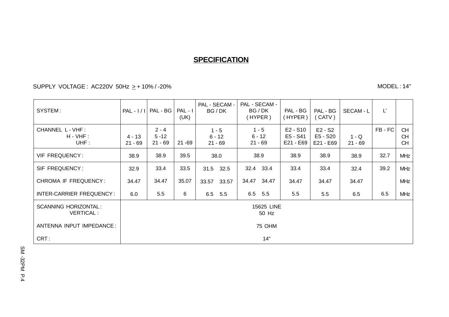### **SPECIFICATION**

SUPPLY\_VOLTAGE:AC220V\_50Hz <sub>≥</sub> + 10% / -20%

MODEL : 14"

| SYSTEM:                                         | $PAL - I/I$           | PAL - BG                         | $PAL - I$<br>(UK) | PAL - SECAM -<br>BG/DK           | PAL - SECAM -<br>BG/DK<br>(HYPER) | PAL - BG<br>(HYPER)                 | PAL - BG<br>(CATV)                 | SECAM - L            | Ľ     |                                     |
|-------------------------------------------------|-----------------------|----------------------------------|-------------------|----------------------------------|-----------------------------------|-------------------------------------|------------------------------------|----------------------|-------|-------------------------------------|
| CHANNEL L - VHF :<br>$H - VHF$ :<br>UHF:        | $4 - 13$<br>$21 - 69$ | $2 - 4$<br>$5 - 12$<br>$21 - 69$ | 21 - 69           | $1 - 5$<br>$6 - 12$<br>$21 - 69$ | $1 - 5$<br>$6 - 12$<br>$21 - 69$  | $E2 - S10$<br>E5 - S41<br>E21 - E69 | $E2 - S2$<br>E5 - S20<br>E21 - E69 | $1 - Q$<br>$21 - 69$ | FB-FC | <b>CH</b><br><b>CH</b><br><b>CH</b> |
| VIF FREQUENCY:                                  | 38.9                  | 38.9                             | 39.5              | 38.0                             | 38.9                              | 38.9                                | 38.9                               | 38.9                 | 32.7  | <b>MHz</b>                          |
| SIF FREQUENCY:                                  | 32.9                  | 33.4                             | 33.5              | 31.5<br>32.5                     | 32.4 33.4                         | 33.4                                | 33.4                               | 32.4                 | 39.2  | <b>MHz</b>                          |
| <b>CHROMA IF FREQUENCY:</b>                     | 34.47                 | 34.47                            | 35.07             | 33.57<br>33.57                   | 34.47<br>34.47                    | 34.47                               | 34.47                              | 34.47                |       | <b>MHz</b>                          |
| INTER-CARRIER FREQUENCY:                        | 6.0                   | 5.5                              | 6                 | 6.5 5.5                          | 6.5 5.5                           | 5.5                                 | 5.5                                | 6.5                  | 6.5   | <b>MHz</b>                          |
| <b>SCANNING HORIZONTAL:</b><br><b>VERTICAL:</b> |                       | 15625 LINE<br>50 Hz              |                   |                                  |                                   |                                     |                                    |                      |       |                                     |
| ANTENNA INPUT IMPEDANCE:                        |                       | 75 OHM                           |                   |                                  |                                   |                                     |                                    |                      |       |                                     |
| CRT:                                            |                       | 14"                              |                   |                                  |                                   |                                     |                                    |                      |       |                                     |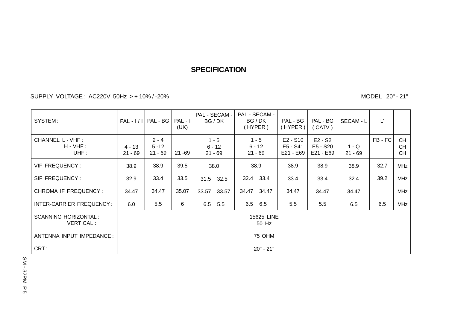#### **SPECIFICATION**

SUPPLY VOLTAGE : AC220V 50Hz > + 10% / -20%

MODEL : 20" - 21"

| SYSTEM:                                         | $PAL - I/I$           | $PAL - BG$                       | PAL - I<br>(UK) | PAL - SECAM -<br>BG / DK         | PAL - SECAM -<br>BG/DK<br>(HYPER) | PAL - BG<br>(HYPER)                 | PAL - BG<br>(CATV)                 | SECAM - L            | $L^*$ |                                     |
|-------------------------------------------------|-----------------------|----------------------------------|-----------------|----------------------------------|-----------------------------------|-------------------------------------|------------------------------------|----------------------|-------|-------------------------------------|
| CHANNEL L - VHF :<br>$H - VHF$ :<br>UHF:        | $4 - 13$<br>$21 - 69$ | $2 - 4$<br>$5 - 12$<br>$21 - 69$ | $21 - 69$       | $1 - 5$<br>$6 - 12$<br>$21 - 69$ | $1 - 5$<br>$6 - 12$<br>$21 - 69$  | $E2 - S10$<br>E5 - S41<br>E21 - E69 | $E2 - S2$<br>E5 - S20<br>E21 - E69 | $1 - Q$<br>$21 - 69$ | FB-FC | <b>CH</b><br><b>CH</b><br><b>CH</b> |
| <b>VIF FREQUENCY:</b>                           | 38.9                  | 38.9                             | 39.5            | 38.0                             | 38.9                              | 38.9                                | 38.9                               | 38.9                 | 32.7  | <b>MHz</b>                          |
| SIF FREQUENCY:                                  | 32.9                  | 33.4                             | 33.5            | 31.5 32.5                        | 32.4<br>33.4                      | 33.4                                | 33.4                               | 32.4                 | 39.2  | <b>MHz</b>                          |
| CHROMA IF FREQUENCY:                            | 34.47                 | 34.47                            | 35.07           | 33.57<br>33.57                   | 34.47<br>34.47                    | 34.47                               | 34.47                              | 34.47                |       | <b>MHz</b>                          |
| INTER-CARRIER FREQUENCY:                        | 6.0                   | 5.5                              | 6               | 6.5 5.5                          | 6.5<br>6.5                        | 5.5                                 | 5.5                                | 6.5                  | 6.5   | <b>MHz</b>                          |
| <b>SCANNING HORIZONTAL:</b><br><b>VERTICAL:</b> |                       | 15625 LINE<br>50 Hz              |                 |                                  |                                   |                                     |                                    |                      |       |                                     |
| ANTENNA INPUT IMPEDANCE:                        |                       | 75 OHM                           |                 |                                  |                                   |                                     |                                    |                      |       |                                     |
| CRT:                                            |                       | $20" - 21"$                      |                 |                                  |                                   |                                     |                                    |                      |       |                                     |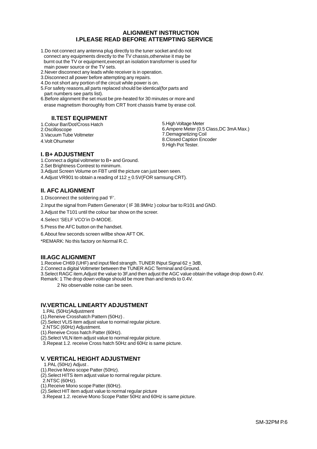#### **ALIGNMENT INSTRUCTION I.PLEASE READ BEFORE ATTEMPTING SERVICE**

- 1.Do not connect any antenna plug directly to the tuner socket and do not connect any equipments directly to the TV chassis,otherwise it may be burnt out the TV or equipment,execept an isolation transformer is used for main power source or the TV sets.
- 2.Never disconnect any leads while receiver is in operation.
- 3.Disconnect all power before attempting any repairs.
- 4.Do not short any portion of the circuit while power is on.
- 5.For safety reasons,all parts replaced should be identical(for parts and part numbers see parts list).
- 6.Before alignment the set must be pre-heated for 30 minutes or more and erase magnetism thoroughly from CRT front chassis frame by erase coil.

#### **II.TEST EQUIPMENT**

1.Colour Bar/Dot/Cross Hatch 2.Oscilloscope

3.Vacuum Tube Voltmeter

4.Volt Ohumeter

5.High Voltage Meter 6.Ampere Meter (0.5 Class,DC 3mA Max.) 7.Demagnetizing Coil 8.Closed Caption Encoder 9.High Pot Tester.

#### **I. B+ ADJUSTMENT**

1.Connect a digital voltmeter to B+ and Ground.

2.Set Brightness Contrest to minimum.

3.Adjust Screen Volume on FBT until the picture can just been seen.

4.Adjust VR901 to obtain a reading of  $112 \pm 0.5$ V(FOR samsung CRT).

#### **II. AFC ALIGNMENT**

1.Disconnect the soldering pad 'F'.

2.Input the signal from Pattern Generator ( IF 38.9MHz ) colour bar to R101 and GND.

3.Adjust the T101 until the colour bar show on the screer.

4.Select 'SELF VCO'in D-MODE.

5.Press the AFC button on the handset.

6.About few seconds screen willbe show AFT OK.

\*REMARK: No this factory on Normal R.C.

#### **III.AGC ALIGNMENT**

1.Receive CH69 (UHF) and input filed strangth. TUNER INput Signal 62 + 3dB,

2. Connect a digital Voltmeter between the TUNER AGC Terminal and Ground.

3.Select RAGC item,Adjust the value to 3F,and then adjust the AGC value obtain the voltage drop down 0.4V.

Remark: 1 The drop down voltage should be more than and tends to 0.4V.

2 No observable noise can be seen.

#### **IV.VERTICAL LINEARTY ADJUSTMENT**

- 1.PAL (50Hz)Adjustment
- (1).Reneive Crosshatch Pattern (50Hz) .
- (2).Select VLIS item adjust value to normal regular picture.
- 2.NTSC (60Hz) Adjustment.
- (1).Reneive Cross hatch Patter (60Hz).
- (2).Select VILN item adjust value to normal regular picture.
- 3.Repeat 1.2. receive Cross hatch 50Hz and 60Hz is same picture.

#### **V. VERTICAL HEIGHT ADJUSTMENT**

- 1.PAL (50Hz) Adjust .
- (1).Recive Mono scope Patter (50Hz).
- (2).Select HITS item adjust value to normal regular picture.
- 2.NTSC (60Hz).
- (1).Receive Mono scope Patter (60Hz).
- (2).Select HIT item adjust value to normal regular picture
- 3.Repeat 1.2. receive Mono Scope Patter 50Hz and 60Hz is same picture.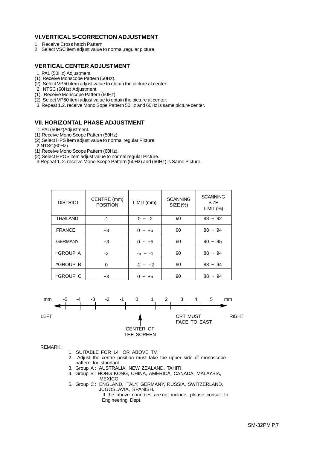#### **VI.VERTICAL S-CORRECTION ADJUSTMENT**

- 1. Receive Cross hatch Pattern
- 2. Select VSC item adjust value to normal,regular picture.

#### **VERTICAL CENTER ADJUSTMENT**

- 1. PAL (50Hz) Adjustment
- (1). Receive Monscope Pattern (50Hz).
- (2). Select VP50 item adjust value to obtain the picture at center .
- 2. NTSC (60Hz) Adjustment
- (1). Receive Monscope Pattern (60Hz).
- (2). Select VP60 item adjust value to obtain the picture at center.
- 3. Repeat 1.2. receive Mono Sope Pattern 50Hz and 60Hz is same picture center.

#### **VII. HORIZONTAL PHASE ADJUSTMENT**

- 1.PAL(50Hz)Adjustment.
- (1).Receive Mono Scope Pattern (50Hz).
- (2).Select HPS item adjust value to normal regular Picture.
- $2$ .NTSC(60Hz)
- (1).Receive Mono Scope Pattern (60Hz).
- (2).Select HPOS item adjust value to normal regular Picture.

3.Repeat 1. 2. receive Mono Scope Pattern (50Hz) and (60Hz) is Same Picture.

| <b>DISTRICT</b> | CENTRE (mm)<br><b>POSITION</b> | LIMIT (mm) | <b>SCANNING</b><br>$SIZE$ $%$ | <b>SCANNING</b><br><b>SIZE</b><br>LIMIT (%) |
|-----------------|--------------------------------|------------|-------------------------------|---------------------------------------------|
| <b>THAILAND</b> | $-1$                           | $0 - -2$   | 90                            | $88 - 92$                                   |
| <b>FRANCE</b>   | $+3$                           | $0 - +5$   | 90                            | $88 - 94$                                   |
| <b>GERMANY</b>  | $+3$                           | $0 - +5$   | 90                            | $90 - 95$                                   |
| *GROUP A        | $-2$                           | $-5 - 1$   | 90                            | $88 - 94$                                   |
| *GROUP B        | $\Omega$                       | $-2 - 12$  | 90                            | $88 - 94$                                   |
| *GROUP C        | $+3$                           | $0 - +5$   | 90                            | $88 - 94$                                   |



REMARK :

- 1. SUITABLE FOR 14" OR ABOVE TV.
- 2. Adjust the centre position must take the upper side of monoscope pattern for standard.
- 3. Group A : AUSTRALIA, NEW ZEALAND, TAHITI.
- 4. Group B: HONG KONG, CHINA, AMERICA, CANADA, MALAYSIA, MEXICO.
- 5. Group C: ENGLAND, ITALY, GERMANY, RUSSIA, SWITZERLAND, JUGOSLAVIA, SPANISH. If the above countries are not include, please consult to

Engineering Dept.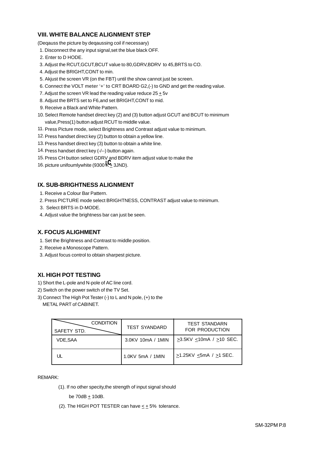#### **VIII. WHITE BALANCE ALIGNMENT STEP**

(Deqauss the picture by deqaussing coil if necessary)

- 1. Disconnect the any input signal,set the blue black OFF.
- 2. Enter to D HODE.
- 3. Adjust the RCUT,GCUT,BCUT value to 80,GDRV,BDRV to 45,BRTS to CO.
- 4. Adjust the BRIGHT,CONT to min.
- 5. Akjust the screen VR (on the FBT) until the show cannot just be screen.
- 6. Connect the VOLT meter '+' to CRT BOARD G2,(-) to GND and get the reading value.
- 7. Adjust the screen VR lead the reading value reduce  $25 \pm 5v$
- 8. Adjust the BRTS set to F6,and set BRIGHT,CONT to mid.
- 9. Receive a Black and White Pattern.
- 10. Select Remote handset direct key (2) and (3) button adjust GCUT and BCUT to minimum value,Press(1) button adjust RCUT to middle value.
- 11. Press Picture mode, select Brightness and Contrast adjust value to minimum.
- 12. Press handset direct key (2) button to obtain a yellow line.
- 13. Press handset direct key (3) button to obtain a white line.
- 14. Press handset direct key (-/--) button again.
- 15. Press CH button select GDRV and BDRV item adjust value to make the
- 16. picture unifoumlywhite (9300 $\overline{\mathcal{K}}_2$  3JND).

#### **IX. SUB-BRIGHTNESS ALIGNMENT**

- 1. Receive a Colour Bar Pattern.
- 2. Press PICTURE mode select BRIGHTNESS, CONTRAST adjust value to minimum.
- 3. Select BRTS in D-MODE.
- 4. Adjust value the brightness bar can just be seen.

#### **X. FOCUS ALIGHMENT**

- 1. Set the Brightness and Contrast to middle position.
- 2. Receive a Monoscope Pattern.
- 3. Adjust focus control to obtain sharpest picture.

#### **XI. HIGH POT TESTING**

- 1) Short the L-pole and N-pole of AC line cord.
- 2) Switch on the power switch of the TV Set.
- 3) Connect The High Pot Tester (-) to L and N pole, (+) to the
- METAL PART of CABINET.

| <b>CONDITION</b><br>SAFETY STD. | <b>TEST SYANDARD</b> | <b>TEST STANDARN</b><br>FOR PRODUCTION |
|---------------------------------|----------------------|----------------------------------------|
| <b>VDE.SAA</b>                  | 3.0KV 10mA / 1MIN    | $>3.5$ KV <10mA / $>10$ SEC.           |
|                                 | 1.0KV 5mA / 1MIN     | $>1.25$ KV <5mA / $>1$ SEC.            |

#### REMARK:

(1). If no other specity,the strength of input signal should

be  $70dB + 10dB$ .

(2). The HIGH POT TESTER can have  $\leq \pm 5\%$  tolerance.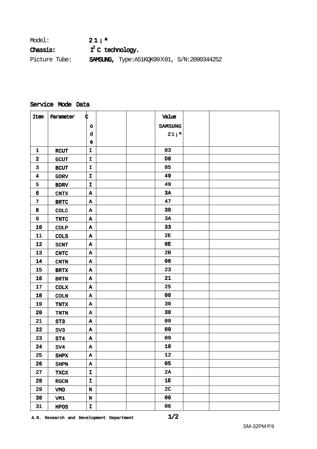| Model:        | $21:$ <sup>a</sup>  |                                                        |  |
|---------------|---------------------|--------------------------------------------------------|--|
| Chassis:      | $T^2$ C technology. |                                                        |  |
| Picture Tube: |                     | <b>SAMSUNG,</b> Type: A51KQK99 $X01$ , S/N: 2090344252 |  |

#### Service Mode Data

| Item                    | Parameter             | ¢            |  | Value            |  |
|-------------------------|-----------------------|--------------|--|------------------|--|
|                         |                       | o            |  | <b>SAMSUNG</b>   |  |
|                         |                       | d            |  | 21i <sup>a</sup> |  |
|                         |                       | $\mathbf e$  |  |                  |  |
| $\mathbf{1}$            | <b>RCUT</b>           | $\mathbf I$  |  | 83               |  |
| $\mathbf{2}$            | <b>GCUT</b>           | $\mathbf I$  |  | D <sub>8</sub>   |  |
| $\overline{\mathbf{3}}$ | <b>BCUT</b>           | I            |  | 85               |  |
| $\overline{\mathbf{4}}$ | <b>GDRV</b>           | $\mathbf I$  |  | 49               |  |
| 5                       | <b>BDRV</b>           | $\mathbf I$  |  | 49               |  |
| 6                       | <b>CNTX</b>           | A            |  | 3A               |  |
| $\overline{7}$          | <b>BRTC</b>           | Α            |  | 47               |  |
| 8                       | <b>COLC</b>           | Α            |  | 30               |  |
| 9                       | TNTC                  | A            |  | 3A               |  |
| 10                      | <b>COLP</b>           | Α            |  | 33               |  |
| ${\bf 11}$              | <b>COLS</b>           | Α            |  | 2E               |  |
| 12                      | <b>SCNT</b>           | Α            |  | 0E               |  |
| 13                      | $\operatorname{CNTC}$ | A            |  | 2B               |  |
| ${\bf 14}$              | <b>CNTN</b>           | Α            |  | 06               |  |
| 15                      | <b>BRTX</b>           | A            |  | 23               |  |
| 16                      | <b>BRTN</b>           | A            |  | 21               |  |
| 17                      | <b>COLX</b>           | Α            |  | 25               |  |
| 18                      | COLN                  | A            |  | 00               |  |
| 19                      | <b>TNTX</b>           | A            |  | 30               |  |
| 20                      | <b>TNTN</b>           | A            |  | 30               |  |
| 21                      | ST3                   | A            |  | 09               |  |
| 22                      | SV3                   | Α            |  | 09               |  |
| 23                      | ST4                   | Α            |  | 09               |  |
| 24                      | SV4                   | Α            |  | ${\bf 10}$       |  |
| 25                      | <b>SHPX</b>           | Α            |  | 12               |  |
| 26                      | <b>SHPN</b>           | $\, {\bf A}$ |  | 05               |  |
| 27                      | <b>TXCX</b>           | $\mathbf I$  |  | 2A               |  |
| 28                      | RGCN                  | $\mathbf I$  |  | 1E               |  |
| 29                      | VMO                   | $\mathbf N$  |  | 2 <sub>C</sub>   |  |
| 30                      | VM1                   | $\mathbf N$  |  | 00               |  |
| 31                      | <b>HPOS</b>           | $\mathbf I$  |  | 06               |  |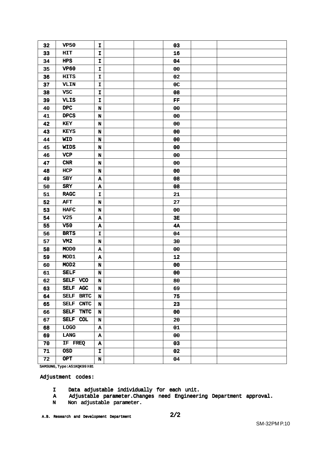| 32 | <b>VP50</b>                | I                         |  | 03             |  |
|----|----------------------------|---------------------------|--|----------------|--|
| 33 | HIT                        | I                         |  | 16             |  |
| 34 | HPS                        | I                         |  | 04             |  |
| 35 | <b>VP60</b>                | I                         |  | 00             |  |
| 36 | <b>HITS</b>                | I                         |  | 02             |  |
| 37 | VLIN                       | I                         |  | 0 <sub>C</sub> |  |
| 38 | <b>VSC</b>                 | I                         |  | 08             |  |
| 39 | <b>VLIS</b>                | I                         |  | FF             |  |
| 40 | DPC                        | $\mathbf N$               |  | 00             |  |
| 41 | <b>DPCS</b>                | $\mathbf N$               |  | 00             |  |
| 42 | KEY                        | $\mathbf N$               |  | 00             |  |
| 43 | <b>KEYS</b>                | $\mathbf N$               |  | 00             |  |
| 44 | <b>WID</b>                 | $\mathbf N$               |  | 00             |  |
| 45 | <b>WIDS</b>                | $\mathbf N$               |  | 00             |  |
| 46 | <b>VCP</b>                 | N                         |  | 00             |  |
| 47 | CNR                        | $\mathbf N$               |  | 00             |  |
| 48 | HCP                        | $\mathbf N$               |  | 00             |  |
| 49 | <b>SBY</b>                 | $\, {\bf A}$              |  | 08             |  |
| 50 | <b>SRY</b>                 | $\, {\bf A}$              |  | 08             |  |
| 51 | <b>RAGC</b>                | I                         |  | 21             |  |
| 52 | <b>AFT</b>                 | $\mathbf N$               |  | 27             |  |
| 53 | <b>HAFC</b>                | N                         |  | 00             |  |
| 54 | V <sub>25</sub>            | A                         |  | 3E             |  |
| 55 | <b>V50</b>                 | A                         |  | 4A             |  |
| 56 | <b>BRTS</b>                | I                         |  | 04             |  |
| 57 | VM2                        | $\mathbf N$               |  | 30             |  |
| 58 | MOD <sub>0</sub>           | A                         |  | 00             |  |
| 59 | MOD1                       | A                         |  | 12             |  |
| 60 | MOD <sub>2</sub>           | N                         |  | 00             |  |
| 61 | <b>SELF</b>                | N                         |  | 00             |  |
| 62 | SELF VCO                   | $\mathbf N$               |  | 80             |  |
| 63 | SELF AGC                   | $\mathbf N$               |  | 69             |  |
| 64 | SELF BRTC                  | $\mathbf N$               |  | 75             |  |
| 65 | SELF CNTC                  | $\mathbf N$               |  | 23             |  |
| 66 | <b>SELF</b><br><b>TNTC</b> | N                         |  | 00             |  |
| 67 | <b>SELF</b><br>COL         | $\mathbf N$               |  | 20             |  |
| 68 | <b>TOGO</b>                | $\boldsymbol{\Lambda}$    |  | 01             |  |
| 69 | <b>LANG</b>                | $\boldsymbol{\Lambda}$    |  | ${\bf 00}$     |  |
| 70 | IF FREQ                    | $\boldsymbol{\mathtt{A}}$ |  | 03             |  |
| 71 | <b>OSD</b>                 | I                         |  | 02             |  |
| 72 | <b>OPT</b>                 | $\mathbf N$               |  | 04             |  |
|    |                            |                           |  |                |  |

SAMSUNG,Type:A51KQK99**X**01

Adjustment codes:

- I Data adjustable individually for each unit.
- A Adjustable parameter.Changes need Engineering Department approval.
- N Non adjustable parameter.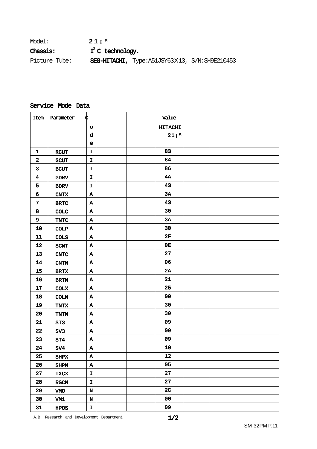| Model:          | $21:$ <sup>a</sup>  |                                                     |  |
|-----------------|---------------------|-----------------------------------------------------|--|
| <b>Chassis:</b> | $I^2$ C technology. |                                                     |  |
| Picture Tube:   |                     | SEG-HITACHI, Type: A51JSY63 $X13$ , S/N: SH9E210453 |  |

### Service Mode Data

| Item             | Parameter       | ¢                      |  | Value            |  |
|------------------|-----------------|------------------------|--|------------------|--|
|                  |                 | $\circ$                |  | <b>HITACHI</b>   |  |
|                  |                 | d                      |  | 21i <sup>a</sup> |  |
|                  |                 | $\mathbf e$            |  |                  |  |
| $\mathbf{1}$     | <b>RCUT</b>     | $\mathbf I$            |  | 83               |  |
| $\mathbf{2}$     | <b>GCUT</b>     | I                      |  | 84               |  |
| $\mathbf{3}$     | BCUT            | $\mathbf{I}$           |  | 86               |  |
| $\boldsymbol{4}$ | <b>GDRV</b>     | $\mathbf I$            |  | <b>4A</b>        |  |
| 5                | <b>BDRV</b>     | $\mathbf I$            |  | 43               |  |
| 6                | CNTX            | $\, {\bf A}$           |  | 3A               |  |
| $\overline{7}$   | <b>BRTC</b>     | Α                      |  | 43               |  |
| 8                | <b>COLC</b>     | A                      |  | 30               |  |
| 9                | TNTC            | A                      |  | 3A               |  |
| 10               | <b>COLP</b>     | Α                      |  | 30               |  |
| ${\bf 11}$       | <b>COLS</b>     | A                      |  | 2F               |  |
| 12               | <b>SCNT</b>     | A                      |  | 0E               |  |
| 13               | <b>CNTC</b>     | $\, {\bf A}$           |  | 27               |  |
| 14               | CNTN            | $\boldsymbol{\Lambda}$ |  | 06               |  |
| 15               | <b>BRTX</b>     | $\boldsymbol{\Lambda}$ |  | 2A               |  |
| 16               | <b>BRTN</b>     | Α                      |  | 21               |  |
| 17               | COLX            | $\, {\bf A}$           |  | 25               |  |
| 18               | COLN            | A                      |  | 00               |  |
| 19               | <b>TNTX</b>     | Α                      |  | 30               |  |
| 20               | TNTN            | A                      |  | 30               |  |
| 21               | ST <sub>3</sub> | $\mathbf A$            |  | 09               |  |
| 22               | SV <sub>3</sub> | Α                      |  | 09               |  |
| 23               | ST4             | Α                      |  | 09               |  |
| 24               | SV4             | $\, {\bf A}$           |  | 10               |  |
| 25               | <b>SHPX</b>     | $\, {\bf A}$           |  | 12               |  |
| 26               | <b>SHPN</b>     | $\, {\bf A}$           |  | 05               |  |
| 27               | <b>TXCX</b>     | $\mathbf{I}$           |  | 27               |  |
| 28               | RGCN            | $\mathbf I$            |  | 27               |  |
| 29               | VMO             | $\mathbf N$            |  | 2 <sub>C</sub>   |  |
| 30               | VM1             | $\mathbf N$            |  | 00               |  |
| 31               | <b>HPOS</b>     | $\mathbf I$            |  | 09               |  |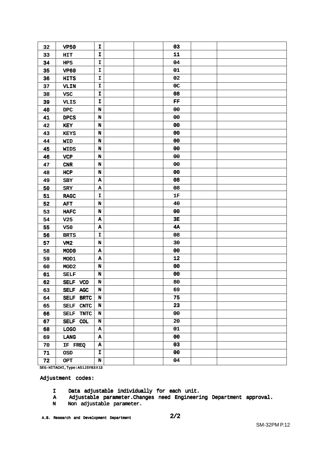| 32 | <b>VP50</b>                | I                         |  | 03             |  |
|----|----------------------------|---------------------------|--|----------------|--|
| 33 | HIT                        | I                         |  | 11             |  |
| 34 | HPS                        | I                         |  | 04             |  |
| 35 | <b>VP60</b>                | I                         |  | 01             |  |
| 36 | <b>HITS</b>                | I                         |  | 02             |  |
| 37 | <b>VLIN</b>                | $\mathbf I$               |  | 0 <sub>C</sub> |  |
| 38 | <b>VSC</b>                 | I                         |  | 08             |  |
| 39 | <b>VLIS</b>                | I                         |  | FF             |  |
| 40 | $_{\rm DPC}$               | $\mathbf N$               |  | 00             |  |
| 41 | <b>DPCS</b>                | N                         |  | 00             |  |
| 42 | KEY                        | $\mathbf N$               |  | 00             |  |
| 43 | <b>KEYS</b>                | N                         |  | 00             |  |
| 44 | <b>WID</b>                 | $\mathbf N$               |  | ${\bf 00}$     |  |
| 45 | <b>WIDS</b>                | $\mathbf N$               |  | ${\bf 00}$     |  |
| 46 | <b>VCP</b>                 | N                         |  | 00             |  |
| 47 | CNR                        | $\mathbf N$               |  | 00             |  |
| 48 | HCP                        | $\mathbf N$               |  | 00             |  |
| 49 | SBY                        | A                         |  | 08             |  |
| 50 | <b>SRY</b>                 | A                         |  | 08             |  |
| 51 | <b>RAGC</b>                | I                         |  | 1F             |  |
| 52 | <b>AFT</b>                 | $\mathbf N$               |  | 40             |  |
| 53 | ${\tt HAFC}$               | $\mathbf N$               |  | 00             |  |
| 54 | V <sub>25</sub>            | $\boldsymbol{\Lambda}$    |  | 3E             |  |
| 55 | V50                        | A                         |  | 4A             |  |
| 56 | <b>BRTS</b>                | $\mathbf{I}$              |  | 08             |  |
| 57 | VM <sub>2</sub>            | N                         |  | 30             |  |
| 58 | MOD <sub>0</sub>           | $\boldsymbol{\Lambda}$    |  | 00             |  |
| 59 | MOD1                       | $\boldsymbol{\Lambda}$    |  | 12             |  |
| 60 | MOD <sub>2</sub>           | N                         |  | 00             |  |
| 61 | <b>SELF</b>                | $\mathbf N$               |  | 00             |  |
| 62 | SELF VCO                   | N                         |  | 80             |  |
| 63 | SELF AGC                   | $\mathbf N$               |  | 69             |  |
| 64 | SELF BRTC                  | $\mathbf N$               |  | 75             |  |
| 65 | SELF CNTC                  | N                         |  | 23             |  |
| 66 | <b>SELF</b><br><b>TNTC</b> | $\mathbf N$               |  | 00             |  |
| 67 | SELF COL                   | $\mathbf N$               |  | 20             |  |
| 68 | LOGO                       | $\boldsymbol{\Lambda}$    |  | 01             |  |
| 69 | LANG                       | $\boldsymbol{\Lambda}$    |  | 00             |  |
| 70 | IF FREQ                    | $\boldsymbol{\mathtt{A}}$ |  | 03             |  |
| 71 | <b>OSD</b>                 | I                         |  | 00             |  |
| 72 | <b>OPT</b>                 | $\mathbf N$               |  | 04             |  |
|    |                            |                           |  |                |  |

SEG-HITACHI,Type:A51JSY63**X**13

Adjustment codes:

- I Data adjustable individually for each unit.
- A Adjustable parameter.Changes need Engineering Department approval.
- N Non adjustable parameter.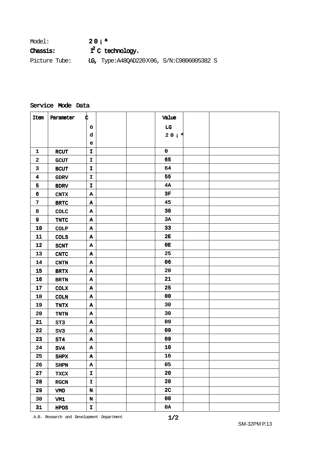| Model:          | 20i <sup>a</sup>                         |
|-----------------|------------------------------------------|
| <b>Chassis:</b> | $I^2$ C technology.                      |
| Picture Tube:   | LG, Type:A48QAD220X06, S/N:C9806005382 S |

#### Service Mode Data

| Item                    | Parameter             | ¢            |  | Value          |  |
|-------------------------|-----------------------|--------------|--|----------------|--|
|                         |                       | $\circ$      |  | $_{\rm LG}$    |  |
|                         |                       | d            |  | 20i            |  |
|                         |                       | e            |  |                |  |
| $\mathbf{1}$            | <b>RCUT</b>           | $\mathbf{I}$ |  | $\mathbf 0$    |  |
| $\mathbf{2}$            | <b>GCUT</b>           | $\mathbf{I}$ |  | 65             |  |
| $\mathbf{3}$            | <b>BCUT</b>           | $\mathbf{I}$ |  | 64             |  |
| $\overline{\mathbf{4}}$ | <b>GDRV</b>           | $\mathbf I$  |  | 55             |  |
| 5                       | <b>BDRV</b>           | $\mathbf{I}$ |  | 4A             |  |
| 6                       | <b>CNTX</b>           | A            |  | $3F$           |  |
| $\mathbf 7$             | <b>BRTC</b>           | Α            |  | 45             |  |
| 8                       | COLC                  | Α            |  | 30             |  |
| 9                       | TNTC                  | $\mathbf{A}$ |  | 3A             |  |
| 10                      | <b>COLP</b>           | Α            |  | 33             |  |
| ${\bf 11}$              | <b>COLS</b>           | $\, {\bf A}$ |  | 2E             |  |
| 12                      | <b>SCNT</b>           | A            |  | 0E             |  |
| 13                      | $\operatorname{CNTC}$ | Α            |  | 25             |  |
| 14                      | $\text{{\bf CNTN}}$   | $\, {\bf A}$ |  | 06             |  |
| 15                      | $\operatorname{BRTX}$ | $\mathbf A$  |  | 20             |  |
| 16                      | <b>BRTN</b>           | $\mathbf A$  |  | 21             |  |
| 17                      | <b>COLX</b>           | $\, {\bf A}$ |  | 25             |  |
| 18                      | <b>COLN</b>           | $\mathbf A$  |  | 00             |  |
| 19                      | <b>TNTX</b>           | $\mathbf A$  |  | 30             |  |
| ${\bf 20}$              | TNTN                  | $\, {\bf A}$ |  | 30             |  |
| 21                      | ST3                   | $\, {\bf A}$ |  | 09             |  |
| 22                      | SV3                   | A            |  | 09             |  |
| 23                      | ST4                   | A            |  | 09             |  |
| 24                      | SV4                   | Α            |  | 10             |  |
| 25                      | SHPX                  | A            |  | 16             |  |
| 26                      | <b>SHPN</b>           | $\, {\bf A}$ |  | 05             |  |
| 27                      | <b>TXCX</b>           | $\mathbf I$  |  | 20             |  |
| 28                      | $_{\rm RGCN}$         | $\mathbf I$  |  | 20             |  |
| 29                      | VMO                   | $\mathbf N$  |  | 2 <sub>C</sub> |  |
| 30                      | VM1                   | $\mathbf N$  |  | 00             |  |
| 31                      | HPOS                  | $\mathbf I$  |  | 0A             |  |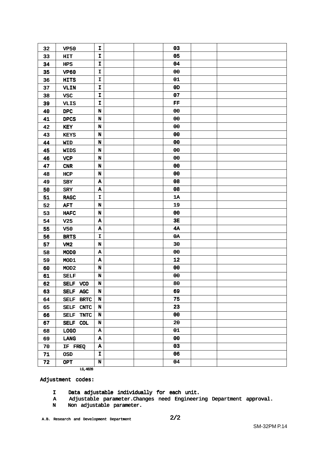| 05<br>33<br>I<br><b>HIT</b><br>04<br>I<br>34<br><b>HPS</b><br>00<br>35<br>I<br><b>VP60</b><br>01<br>I<br>36<br><b>HITS</b><br>37<br>I<br>0 <sub>D</sub><br>VLIN<br>07<br>$\mathbf I$<br>38<br><b>VSC</b><br>I<br>FF<br>39<br><b>VLIS</b><br>00<br>$\mathbf N$<br>40<br>$_{\rm DPC}$<br>00<br>$\mathbf N$<br>41<br><b>DPCS</b><br>00<br>42<br>N<br>KEY<br>00<br>43<br>$\mathbf N$<br><b>KEYS</b><br>00<br>44<br>$\mathbf N$<br><b>WID</b><br>00<br>$\mathbf N$<br>45<br>WIDS<br>00<br>N<br>46<br><b>VCP</b><br>00<br>47<br>$\mathbf N$<br>${\bf CNR}$<br>00<br>48<br>N<br>HCP<br>08<br>49<br>Α<br><b>SBY</b><br>08<br>$\, {\bf A}$<br>50<br><b>SRY</b><br>51<br>1A<br>I<br><b>RAGC</b><br>19<br>52<br>$\mathbf N$<br><b>AFT</b><br>53<br>00<br>N<br><b>HAFC</b><br>3E<br>54<br>A<br>V <sub>25</sub><br>4A<br>55<br><b>V50</b><br>$\, {\bf A}$<br>0A<br>I<br>56<br><b>BRTS</b><br>30<br>57<br>N<br>VM <sub>2</sub><br>00<br>58<br>A<br>MOD <sub>0</sub><br>12<br>59<br>$\, {\bf A}$<br>MOD1<br>00<br>$\mathbf N$<br>60<br>MOD <sub>2</sub><br>${\bf 00}$<br>$\mathbf N$<br>61<br><b>SELF</b><br>80<br>62<br>N<br>SELF VCO<br>69<br>63<br>$\mathbf N$<br>SELF AGC<br>75<br>64<br>N<br>SELF BRTC<br>23<br>SELF CNTC<br>N<br>65<br>00<br>66<br><b>SELF</b><br>N<br><b>TNTC</b><br>20<br>67<br>SELF COL<br>N<br>01<br>$\boldsymbol{\mathtt{A}}$<br>68<br><b>LOGO</b><br>00<br>69<br>A<br>LANG<br>03<br>$\boldsymbol{\mathtt{A}}$<br>70<br>IF FREQ<br>06<br>71<br>I<br><b>OSD</b><br>04<br>72<br>N<br><b>OPT</b> | 32 | <b>VP50</b> | I | 03 |  |
|-----------------------------------------------------------------------------------------------------------------------------------------------------------------------------------------------------------------------------------------------------------------------------------------------------------------------------------------------------------------------------------------------------------------------------------------------------------------------------------------------------------------------------------------------------------------------------------------------------------------------------------------------------------------------------------------------------------------------------------------------------------------------------------------------------------------------------------------------------------------------------------------------------------------------------------------------------------------------------------------------------------------------------------------------------------------------------------------------------------------------------------------------------------------------------------------------------------------------------------------------------------------------------------------------------------------------------------------------------------------------------------------------------------------------------------------------------------------------------------------------------------|----|-------------|---|----|--|
|                                                                                                                                                                                                                                                                                                                                                                                                                                                                                                                                                                                                                                                                                                                                                                                                                                                                                                                                                                                                                                                                                                                                                                                                                                                                                                                                                                                                                                                                                                           |    |             |   |    |  |
|                                                                                                                                                                                                                                                                                                                                                                                                                                                                                                                                                                                                                                                                                                                                                                                                                                                                                                                                                                                                                                                                                                                                                                                                                                                                                                                                                                                                                                                                                                           |    |             |   |    |  |
|                                                                                                                                                                                                                                                                                                                                                                                                                                                                                                                                                                                                                                                                                                                                                                                                                                                                                                                                                                                                                                                                                                                                                                                                                                                                                                                                                                                                                                                                                                           |    |             |   |    |  |
|                                                                                                                                                                                                                                                                                                                                                                                                                                                                                                                                                                                                                                                                                                                                                                                                                                                                                                                                                                                                                                                                                                                                                                                                                                                                                                                                                                                                                                                                                                           |    |             |   |    |  |
|                                                                                                                                                                                                                                                                                                                                                                                                                                                                                                                                                                                                                                                                                                                                                                                                                                                                                                                                                                                                                                                                                                                                                                                                                                                                                                                                                                                                                                                                                                           |    |             |   |    |  |
|                                                                                                                                                                                                                                                                                                                                                                                                                                                                                                                                                                                                                                                                                                                                                                                                                                                                                                                                                                                                                                                                                                                                                                                                                                                                                                                                                                                                                                                                                                           |    |             |   |    |  |
|                                                                                                                                                                                                                                                                                                                                                                                                                                                                                                                                                                                                                                                                                                                                                                                                                                                                                                                                                                                                                                                                                                                                                                                                                                                                                                                                                                                                                                                                                                           |    |             |   |    |  |
|                                                                                                                                                                                                                                                                                                                                                                                                                                                                                                                                                                                                                                                                                                                                                                                                                                                                                                                                                                                                                                                                                                                                                                                                                                                                                                                                                                                                                                                                                                           |    |             |   |    |  |
|                                                                                                                                                                                                                                                                                                                                                                                                                                                                                                                                                                                                                                                                                                                                                                                                                                                                                                                                                                                                                                                                                                                                                                                                                                                                                                                                                                                                                                                                                                           |    |             |   |    |  |
|                                                                                                                                                                                                                                                                                                                                                                                                                                                                                                                                                                                                                                                                                                                                                                                                                                                                                                                                                                                                                                                                                                                                                                                                                                                                                                                                                                                                                                                                                                           |    |             |   |    |  |
|                                                                                                                                                                                                                                                                                                                                                                                                                                                                                                                                                                                                                                                                                                                                                                                                                                                                                                                                                                                                                                                                                                                                                                                                                                                                                                                                                                                                                                                                                                           |    |             |   |    |  |
|                                                                                                                                                                                                                                                                                                                                                                                                                                                                                                                                                                                                                                                                                                                                                                                                                                                                                                                                                                                                                                                                                                                                                                                                                                                                                                                                                                                                                                                                                                           |    |             |   |    |  |
|                                                                                                                                                                                                                                                                                                                                                                                                                                                                                                                                                                                                                                                                                                                                                                                                                                                                                                                                                                                                                                                                                                                                                                                                                                                                                                                                                                                                                                                                                                           |    |             |   |    |  |
|                                                                                                                                                                                                                                                                                                                                                                                                                                                                                                                                                                                                                                                                                                                                                                                                                                                                                                                                                                                                                                                                                                                                                                                                                                                                                                                                                                                                                                                                                                           |    |             |   |    |  |
|                                                                                                                                                                                                                                                                                                                                                                                                                                                                                                                                                                                                                                                                                                                                                                                                                                                                                                                                                                                                                                                                                                                                                                                                                                                                                                                                                                                                                                                                                                           |    |             |   |    |  |
|                                                                                                                                                                                                                                                                                                                                                                                                                                                                                                                                                                                                                                                                                                                                                                                                                                                                                                                                                                                                                                                                                                                                                                                                                                                                                                                                                                                                                                                                                                           |    |             |   |    |  |
|                                                                                                                                                                                                                                                                                                                                                                                                                                                                                                                                                                                                                                                                                                                                                                                                                                                                                                                                                                                                                                                                                                                                                                                                                                                                                                                                                                                                                                                                                                           |    |             |   |    |  |
|                                                                                                                                                                                                                                                                                                                                                                                                                                                                                                                                                                                                                                                                                                                                                                                                                                                                                                                                                                                                                                                                                                                                                                                                                                                                                                                                                                                                                                                                                                           |    |             |   |    |  |
|                                                                                                                                                                                                                                                                                                                                                                                                                                                                                                                                                                                                                                                                                                                                                                                                                                                                                                                                                                                                                                                                                                                                                                                                                                                                                                                                                                                                                                                                                                           |    |             |   |    |  |
|                                                                                                                                                                                                                                                                                                                                                                                                                                                                                                                                                                                                                                                                                                                                                                                                                                                                                                                                                                                                                                                                                                                                                                                                                                                                                                                                                                                                                                                                                                           |    |             |   |    |  |
|                                                                                                                                                                                                                                                                                                                                                                                                                                                                                                                                                                                                                                                                                                                                                                                                                                                                                                                                                                                                                                                                                                                                                                                                                                                                                                                                                                                                                                                                                                           |    |             |   |    |  |
|                                                                                                                                                                                                                                                                                                                                                                                                                                                                                                                                                                                                                                                                                                                                                                                                                                                                                                                                                                                                                                                                                                                                                                                                                                                                                                                                                                                                                                                                                                           |    |             |   |    |  |
|                                                                                                                                                                                                                                                                                                                                                                                                                                                                                                                                                                                                                                                                                                                                                                                                                                                                                                                                                                                                                                                                                                                                                                                                                                                                                                                                                                                                                                                                                                           |    |             |   |    |  |
|                                                                                                                                                                                                                                                                                                                                                                                                                                                                                                                                                                                                                                                                                                                                                                                                                                                                                                                                                                                                                                                                                                                                                                                                                                                                                                                                                                                                                                                                                                           |    |             |   |    |  |
|                                                                                                                                                                                                                                                                                                                                                                                                                                                                                                                                                                                                                                                                                                                                                                                                                                                                                                                                                                                                                                                                                                                                                                                                                                                                                                                                                                                                                                                                                                           |    |             |   |    |  |
|                                                                                                                                                                                                                                                                                                                                                                                                                                                                                                                                                                                                                                                                                                                                                                                                                                                                                                                                                                                                                                                                                                                                                                                                                                                                                                                                                                                                                                                                                                           |    |             |   |    |  |
|                                                                                                                                                                                                                                                                                                                                                                                                                                                                                                                                                                                                                                                                                                                                                                                                                                                                                                                                                                                                                                                                                                                                                                                                                                                                                                                                                                                                                                                                                                           |    |             |   |    |  |
|                                                                                                                                                                                                                                                                                                                                                                                                                                                                                                                                                                                                                                                                                                                                                                                                                                                                                                                                                                                                                                                                                                                                                                                                                                                                                                                                                                                                                                                                                                           |    |             |   |    |  |
|                                                                                                                                                                                                                                                                                                                                                                                                                                                                                                                                                                                                                                                                                                                                                                                                                                                                                                                                                                                                                                                                                                                                                                                                                                                                                                                                                                                                                                                                                                           |    |             |   |    |  |
|                                                                                                                                                                                                                                                                                                                                                                                                                                                                                                                                                                                                                                                                                                                                                                                                                                                                                                                                                                                                                                                                                                                                                                                                                                                                                                                                                                                                                                                                                                           |    |             |   |    |  |
|                                                                                                                                                                                                                                                                                                                                                                                                                                                                                                                                                                                                                                                                                                                                                                                                                                                                                                                                                                                                                                                                                                                                                                                                                                                                                                                                                                                                                                                                                                           |    |             |   |    |  |
|                                                                                                                                                                                                                                                                                                                                                                                                                                                                                                                                                                                                                                                                                                                                                                                                                                                                                                                                                                                                                                                                                                                                                                                                                                                                                                                                                                                                                                                                                                           |    |             |   |    |  |
|                                                                                                                                                                                                                                                                                                                                                                                                                                                                                                                                                                                                                                                                                                                                                                                                                                                                                                                                                                                                                                                                                                                                                                                                                                                                                                                                                                                                                                                                                                           |    |             |   |    |  |
|                                                                                                                                                                                                                                                                                                                                                                                                                                                                                                                                                                                                                                                                                                                                                                                                                                                                                                                                                                                                                                                                                                                                                                                                                                                                                                                                                                                                                                                                                                           |    |             |   |    |  |
|                                                                                                                                                                                                                                                                                                                                                                                                                                                                                                                                                                                                                                                                                                                                                                                                                                                                                                                                                                                                                                                                                                                                                                                                                                                                                                                                                                                                                                                                                                           |    |             |   |    |  |
|                                                                                                                                                                                                                                                                                                                                                                                                                                                                                                                                                                                                                                                                                                                                                                                                                                                                                                                                                                                                                                                                                                                                                                                                                                                                                                                                                                                                                                                                                                           |    |             |   |    |  |
|                                                                                                                                                                                                                                                                                                                                                                                                                                                                                                                                                                                                                                                                                                                                                                                                                                                                                                                                                                                                                                                                                                                                                                                                                                                                                                                                                                                                                                                                                                           |    |             |   |    |  |
|                                                                                                                                                                                                                                                                                                                                                                                                                                                                                                                                                                                                                                                                                                                                                                                                                                                                                                                                                                                                                                                                                                                                                                                                                                                                                                                                                                                                                                                                                                           |    |             |   |    |  |
|                                                                                                                                                                                                                                                                                                                                                                                                                                                                                                                                                                                                                                                                                                                                                                                                                                                                                                                                                                                                                                                                                                                                                                                                                                                                                                                                                                                                                                                                                                           |    |             |   |    |  |
|                                                                                                                                                                                                                                                                                                                                                                                                                                                                                                                                                                                                                                                                                                                                                                                                                                                                                                                                                                                                                                                                                                                                                                                                                                                                                                                                                                                                                                                                                                           |    |             |   |    |  |
|                                                                                                                                                                                                                                                                                                                                                                                                                                                                                                                                                                                                                                                                                                                                                                                                                                                                                                                                                                                                                                                                                                                                                                                                                                                                                                                                                                                                                                                                                                           |    |             |   |    |  |

LG,4828

Adjustment codes:

- I Data adjustable individually for each unit.
- A Adjustable parameter.Changes need Engineering Department approval.
- N Non adjustable parameter.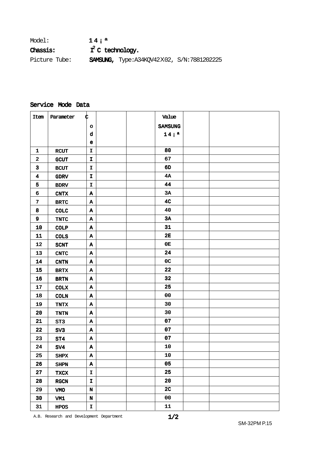| Model:        | 14i <sup>a</sup>    |                                                        |  |
|---------------|---------------------|--------------------------------------------------------|--|
| Chassis:      | $I^2$ C technology. |                                                        |  |
| Picture Tube: |                     | <b>SAMSUNG,</b> Type: A34KQV42 $X$ 02, S/N: 7881202225 |  |

# Service Mode Data

| Item                    | Parameter             | ¢                         | Value            |  |
|-------------------------|-----------------------|---------------------------|------------------|--|
|                         |                       | $\circ$                   | SAMSUNG          |  |
|                         |                       | $\mathbf d$               | 14i <sup>a</sup> |  |
|                         |                       | e                         |                  |  |
| $\mathbf{1}$            | <b>RCUT</b>           | $\mathbf I$               | 80               |  |
| $\mathbf{2}$            | <b>GCUT</b>           | I                         | 67               |  |
| $\overline{\mathbf{3}}$ | <b>BCUT</b>           | I.                        | 6D               |  |
| $\overline{\mathbf{4}}$ | <b>GDRV</b>           | $\mathbf I$               | 4A               |  |
| 5                       | <b>BDRV</b>           | $\mathbf I$               | 44               |  |
| 6                       | CNTX                  | A                         | 3A               |  |
| $\overline{\mathbf{z}}$ | <b>BRTC</b>           | $\mathbf A$               | 4 <sub>C</sub>   |  |
| 8                       | <b>COLC</b>           | Α                         | 40               |  |
| 9                       | TNTC                  | Α                         | 3A               |  |
| 10                      | <b>COLP</b>           | $\mathbf A$               | 31               |  |
| ${\bf 11}$              | <b>COLS</b>           | Α                         | 2E               |  |
| 12                      | <b>SCNT</b>           | A                         | 0E               |  |
| 13                      | $\operatorname{CNTC}$ | $\, {\bf A}$              | 24               |  |
| 14                      | <b>CNTN</b>           | $\, {\bf A}$              | 0 <sub>C</sub>   |  |
| 15                      | <b>BRTX</b>           | A                         | 22               |  |
| 16                      | <b>BRTN</b>           | $\mathbf A$               | 32               |  |
| 17                      | <b>COLX</b>           | $\, {\bf A}$              | 25               |  |
| 18                      | <b>COLN</b>           | Α                         | 00               |  |
| 19                      | <b>TNTX</b>           | Α                         | 30               |  |
| 20                      | TNTN                  | $\, {\bf A}$              | 30               |  |
| 21                      | ST <sub>3</sub>       | Α                         | 07               |  |
| 22                      | SV <sub>3</sub>       | Α                         | 07               |  |
| 23                      | ST4                   | A                         | 07               |  |
| 24                      | SV4                   | Α                         | 10               |  |
| 25                      | SHPX                  | $\, {\bf A}$              | 10               |  |
| 26                      | <b>SHPN</b>           | $\boldsymbol{\mathtt{A}}$ | 05               |  |
| 27                      | <b>TXCX</b>           | $\mathbf I$               | 25               |  |
| 28                      | $_{\rm RGCN}$         | $\mathbf I$               | 20               |  |
| 29                      | VMO                   | $\mathbf N$               | 2 <sub>C</sub>   |  |
| 30                      | VM1                   | $\mathbf N$               | 00               |  |
| 31                      | <b>HPOS</b>           | I                         | ${\bf 11}$       |  |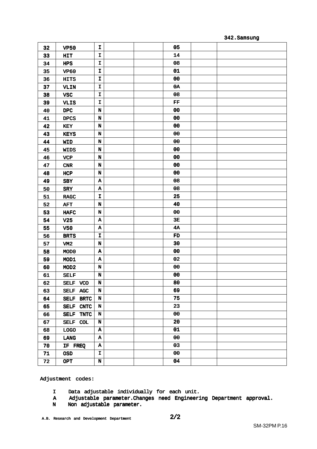#### 342.Samsung

| 05<br>I<br>32<br><b>VP50</b><br>14<br>33<br>I<br>HIT<br>08<br>I<br>34<br><b>HPS</b><br>01<br>I<br>35<br><b>VP60</b><br>00<br>I<br>36<br><b>HITS</b><br>0A<br>37<br>I<br>VLIN<br>08<br>38<br>I<br><b>VSC</b><br>${\bf FF}$<br>39<br>I<br><b>VLIS</b><br>00<br>40<br>$\tt DPC$<br>N<br>00<br>41<br>$\mathbf N$<br><b>DPCS</b><br>00<br>42<br>N<br>KEY<br>00<br>43<br>$\mathbf N$<br><b>KEYS</b><br>00<br>$\mathbf N$<br>44<br><b>WID</b><br>00<br>$\mathbf N$<br>45<br><b>WIDS</b><br>00<br>46<br>N<br><b>VCP</b><br>00<br>47<br>N<br>CNR<br>00<br>48<br>N<br>HCP<br>08<br>49<br>$\, {\bf A}$<br><b>SBY</b><br>08<br>$\, {\bf A}$<br>50<br>SRY<br>25<br>51<br>I<br><b>RAGC</b><br>40<br>$\mathbf N$<br>52<br><b>AFT</b><br>00<br>53<br>$\mathbf N$<br><b>HAFC</b><br>3E<br>54<br>$\, {\bf A}$<br>V <sub>25</sub><br>4A<br>55<br>$\pmb{\Lambda}$<br><b>V50</b><br>56<br>I<br>FD<br><b>BRTS</b><br>30<br>57<br>N<br>VM2<br>00<br>58<br>MOD <sub>0</sub><br>$\, {\bf A}$<br>02<br>59<br>$\, {\bf A}$<br>MOD1<br>00<br>60<br>N<br>MOD <sub>2</sub><br>00<br>61<br>$\mathbf N$<br><b>SELF</b><br>80<br>62<br>SELF VCO<br>N<br>69<br>N<br>63<br>SELF AGC<br>75<br>$\mathbf N$<br>64<br>SELF BRTC<br>23<br>65<br>SELF CNTC<br>N<br>00<br>66<br><b>SELF</b><br>N<br><b>TNTC</b><br>20<br>67<br>SELF COL<br>N<br>01<br>$\boldsymbol{\mathtt{A}}$<br>68<br><b>LOGO</b><br>00<br>69<br>$\boldsymbol{\Lambda}$<br>LANG<br>03<br>70<br>$\boldsymbol{\Lambda}$<br>IF FREQ |    |            |   |    |  |
|-----------------------------------------------------------------------------------------------------------------------------------------------------------------------------------------------------------------------------------------------------------------------------------------------------------------------------------------------------------------------------------------------------------------------------------------------------------------------------------------------------------------------------------------------------------------------------------------------------------------------------------------------------------------------------------------------------------------------------------------------------------------------------------------------------------------------------------------------------------------------------------------------------------------------------------------------------------------------------------------------------------------------------------------------------------------------------------------------------------------------------------------------------------------------------------------------------------------------------------------------------------------------------------------------------------------------------------------------------------------------------------------------------------------------------------------------------------|----|------------|---|----|--|
|                                                                                                                                                                                                                                                                                                                                                                                                                                                                                                                                                                                                                                                                                                                                                                                                                                                                                                                                                                                                                                                                                                                                                                                                                                                                                                                                                                                                                                                           |    |            |   |    |  |
|                                                                                                                                                                                                                                                                                                                                                                                                                                                                                                                                                                                                                                                                                                                                                                                                                                                                                                                                                                                                                                                                                                                                                                                                                                                                                                                                                                                                                                                           |    |            |   |    |  |
|                                                                                                                                                                                                                                                                                                                                                                                                                                                                                                                                                                                                                                                                                                                                                                                                                                                                                                                                                                                                                                                                                                                                                                                                                                                                                                                                                                                                                                                           |    |            |   |    |  |
|                                                                                                                                                                                                                                                                                                                                                                                                                                                                                                                                                                                                                                                                                                                                                                                                                                                                                                                                                                                                                                                                                                                                                                                                                                                                                                                                                                                                                                                           |    |            |   |    |  |
|                                                                                                                                                                                                                                                                                                                                                                                                                                                                                                                                                                                                                                                                                                                                                                                                                                                                                                                                                                                                                                                                                                                                                                                                                                                                                                                                                                                                                                                           |    |            |   |    |  |
|                                                                                                                                                                                                                                                                                                                                                                                                                                                                                                                                                                                                                                                                                                                                                                                                                                                                                                                                                                                                                                                                                                                                                                                                                                                                                                                                                                                                                                                           |    |            |   |    |  |
|                                                                                                                                                                                                                                                                                                                                                                                                                                                                                                                                                                                                                                                                                                                                                                                                                                                                                                                                                                                                                                                                                                                                                                                                                                                                                                                                                                                                                                                           |    |            |   |    |  |
|                                                                                                                                                                                                                                                                                                                                                                                                                                                                                                                                                                                                                                                                                                                                                                                                                                                                                                                                                                                                                                                                                                                                                                                                                                                                                                                                                                                                                                                           |    |            |   |    |  |
|                                                                                                                                                                                                                                                                                                                                                                                                                                                                                                                                                                                                                                                                                                                                                                                                                                                                                                                                                                                                                                                                                                                                                                                                                                                                                                                                                                                                                                                           |    |            |   |    |  |
|                                                                                                                                                                                                                                                                                                                                                                                                                                                                                                                                                                                                                                                                                                                                                                                                                                                                                                                                                                                                                                                                                                                                                                                                                                                                                                                                                                                                                                                           |    |            |   |    |  |
|                                                                                                                                                                                                                                                                                                                                                                                                                                                                                                                                                                                                                                                                                                                                                                                                                                                                                                                                                                                                                                                                                                                                                                                                                                                                                                                                                                                                                                                           |    |            |   |    |  |
|                                                                                                                                                                                                                                                                                                                                                                                                                                                                                                                                                                                                                                                                                                                                                                                                                                                                                                                                                                                                                                                                                                                                                                                                                                                                                                                                                                                                                                                           |    |            |   |    |  |
|                                                                                                                                                                                                                                                                                                                                                                                                                                                                                                                                                                                                                                                                                                                                                                                                                                                                                                                                                                                                                                                                                                                                                                                                                                                                                                                                                                                                                                                           |    |            |   |    |  |
|                                                                                                                                                                                                                                                                                                                                                                                                                                                                                                                                                                                                                                                                                                                                                                                                                                                                                                                                                                                                                                                                                                                                                                                                                                                                                                                                                                                                                                                           |    |            |   |    |  |
|                                                                                                                                                                                                                                                                                                                                                                                                                                                                                                                                                                                                                                                                                                                                                                                                                                                                                                                                                                                                                                                                                                                                                                                                                                                                                                                                                                                                                                                           |    |            |   |    |  |
|                                                                                                                                                                                                                                                                                                                                                                                                                                                                                                                                                                                                                                                                                                                                                                                                                                                                                                                                                                                                                                                                                                                                                                                                                                                                                                                                                                                                                                                           |    |            |   |    |  |
|                                                                                                                                                                                                                                                                                                                                                                                                                                                                                                                                                                                                                                                                                                                                                                                                                                                                                                                                                                                                                                                                                                                                                                                                                                                                                                                                                                                                                                                           |    |            |   |    |  |
|                                                                                                                                                                                                                                                                                                                                                                                                                                                                                                                                                                                                                                                                                                                                                                                                                                                                                                                                                                                                                                                                                                                                                                                                                                                                                                                                                                                                                                                           |    |            |   |    |  |
|                                                                                                                                                                                                                                                                                                                                                                                                                                                                                                                                                                                                                                                                                                                                                                                                                                                                                                                                                                                                                                                                                                                                                                                                                                                                                                                                                                                                                                                           |    |            |   |    |  |
|                                                                                                                                                                                                                                                                                                                                                                                                                                                                                                                                                                                                                                                                                                                                                                                                                                                                                                                                                                                                                                                                                                                                                                                                                                                                                                                                                                                                                                                           |    |            |   |    |  |
|                                                                                                                                                                                                                                                                                                                                                                                                                                                                                                                                                                                                                                                                                                                                                                                                                                                                                                                                                                                                                                                                                                                                                                                                                                                                                                                                                                                                                                                           |    |            |   |    |  |
|                                                                                                                                                                                                                                                                                                                                                                                                                                                                                                                                                                                                                                                                                                                                                                                                                                                                                                                                                                                                                                                                                                                                                                                                                                                                                                                                                                                                                                                           |    |            |   |    |  |
|                                                                                                                                                                                                                                                                                                                                                                                                                                                                                                                                                                                                                                                                                                                                                                                                                                                                                                                                                                                                                                                                                                                                                                                                                                                                                                                                                                                                                                                           |    |            |   |    |  |
|                                                                                                                                                                                                                                                                                                                                                                                                                                                                                                                                                                                                                                                                                                                                                                                                                                                                                                                                                                                                                                                                                                                                                                                                                                                                                                                                                                                                                                                           |    |            |   |    |  |
|                                                                                                                                                                                                                                                                                                                                                                                                                                                                                                                                                                                                                                                                                                                                                                                                                                                                                                                                                                                                                                                                                                                                                                                                                                                                                                                                                                                                                                                           |    |            |   |    |  |
|                                                                                                                                                                                                                                                                                                                                                                                                                                                                                                                                                                                                                                                                                                                                                                                                                                                                                                                                                                                                                                                                                                                                                                                                                                                                                                                                                                                                                                                           |    |            |   |    |  |
|                                                                                                                                                                                                                                                                                                                                                                                                                                                                                                                                                                                                                                                                                                                                                                                                                                                                                                                                                                                                                                                                                                                                                                                                                                                                                                                                                                                                                                                           |    |            |   |    |  |
|                                                                                                                                                                                                                                                                                                                                                                                                                                                                                                                                                                                                                                                                                                                                                                                                                                                                                                                                                                                                                                                                                                                                                                                                                                                                                                                                                                                                                                                           |    |            |   |    |  |
|                                                                                                                                                                                                                                                                                                                                                                                                                                                                                                                                                                                                                                                                                                                                                                                                                                                                                                                                                                                                                                                                                                                                                                                                                                                                                                                                                                                                                                                           |    |            |   |    |  |
|                                                                                                                                                                                                                                                                                                                                                                                                                                                                                                                                                                                                                                                                                                                                                                                                                                                                                                                                                                                                                                                                                                                                                                                                                                                                                                                                                                                                                                                           |    |            |   |    |  |
|                                                                                                                                                                                                                                                                                                                                                                                                                                                                                                                                                                                                                                                                                                                                                                                                                                                                                                                                                                                                                                                                                                                                                                                                                                                                                                                                                                                                                                                           |    |            |   |    |  |
|                                                                                                                                                                                                                                                                                                                                                                                                                                                                                                                                                                                                                                                                                                                                                                                                                                                                                                                                                                                                                                                                                                                                                                                                                                                                                                                                                                                                                                                           |    |            |   |    |  |
|                                                                                                                                                                                                                                                                                                                                                                                                                                                                                                                                                                                                                                                                                                                                                                                                                                                                                                                                                                                                                                                                                                                                                                                                                                                                                                                                                                                                                                                           |    |            |   |    |  |
|                                                                                                                                                                                                                                                                                                                                                                                                                                                                                                                                                                                                                                                                                                                                                                                                                                                                                                                                                                                                                                                                                                                                                                                                                                                                                                                                                                                                                                                           |    |            |   |    |  |
|                                                                                                                                                                                                                                                                                                                                                                                                                                                                                                                                                                                                                                                                                                                                                                                                                                                                                                                                                                                                                                                                                                                                                                                                                                                                                                                                                                                                                                                           |    |            |   |    |  |
|                                                                                                                                                                                                                                                                                                                                                                                                                                                                                                                                                                                                                                                                                                                                                                                                                                                                                                                                                                                                                                                                                                                                                                                                                                                                                                                                                                                                                                                           |    |            |   |    |  |
|                                                                                                                                                                                                                                                                                                                                                                                                                                                                                                                                                                                                                                                                                                                                                                                                                                                                                                                                                                                                                                                                                                                                                                                                                                                                                                                                                                                                                                                           |    |            |   |    |  |
|                                                                                                                                                                                                                                                                                                                                                                                                                                                                                                                                                                                                                                                                                                                                                                                                                                                                                                                                                                                                                                                                                                                                                                                                                                                                                                                                                                                                                                                           |    |            |   |    |  |
|                                                                                                                                                                                                                                                                                                                                                                                                                                                                                                                                                                                                                                                                                                                                                                                                                                                                                                                                                                                                                                                                                                                                                                                                                                                                                                                                                                                                                                                           |    |            |   |    |  |
|                                                                                                                                                                                                                                                                                                                                                                                                                                                                                                                                                                                                                                                                                                                                                                                                                                                                                                                                                                                                                                                                                                                                                                                                                                                                                                                                                                                                                                                           | 71 | <b>OSD</b> | I | 00 |  |
| $\mathbf N$<br>04<br>72<br><b>OPT</b>                                                                                                                                                                                                                                                                                                                                                                                                                                                                                                                                                                                                                                                                                                                                                                                                                                                                                                                                                                                                                                                                                                                                                                                                                                                                                                                                                                                                                     |    |            |   |    |  |

Adjustment codes:

- I Data adjustable individually for each unit.
- A Adjustable parameter.Changes need Engineering Department approval.
- N Non adjustable parameter.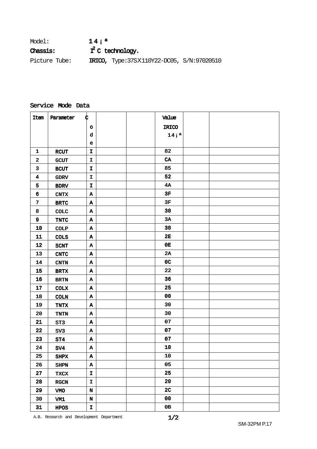| Model:          | 14i <sup>a</sup>                                 |
|-----------------|--------------------------------------------------|
| <b>Chassis:</b> | $I^2$ C technology.                              |
| Picture Tube:   | <b>IRICO,</b> Type:37SX110Y22-DC05, S/N:97020510 |

#### Service Mode Data

| Item                    | Parameter             | ¢            | Value            |  |
|-------------------------|-----------------------|--------------|------------------|--|
|                         |                       | $\circ$      | IRICO            |  |
|                         |                       | d            | 14i <sup>a</sup> |  |
|                         |                       | $\mathbf e$  |                  |  |
| $\mathbf{1}$            | <b>RCUT</b>           | $\mathbf I$  | 82               |  |
| $\boldsymbol{2}$        | <b>GCUT</b>           | $\mathbf{I}$ | ${\bf CA}$       |  |
| 3                       | <b>BCUT</b>           | I            | 85               |  |
| $\overline{\mathbf{4}}$ | <b>GDRV</b>           | $\mathbf I$  | 52               |  |
| 5                       | <b>BDRV</b>           | $\mathbf{I}$ | 4A               |  |
| 6                       | CNTX                  | A            | 3F               |  |
| $\boldsymbol{7}$        | <b>BRTC</b>           | A            | 3F               |  |
| 8                       | COLC                  | Α            | 30               |  |
| 9                       | TNTC                  | $\mathbf{A}$ | 3A               |  |
| 10                      | COLP                  | A            | 30               |  |
| ${\bf 11}$              | <b>COLS</b>           | Α            | 2E               |  |
| 12                      | <b>SCNT</b>           | $\mathbf{A}$ | 0E               |  |
| 13                      | $\operatorname{CNTC}$ | $\, {\bf A}$ | 2A               |  |
| 14                      | CNTN                  | Α            | 0 <sub>C</sub>   |  |
| 15                      | $\operatorname{BRTX}$ | A            | 22               |  |
| 16                      | <b>BRTN</b>           | A            | 36               |  |
| 17                      | <b>COLX</b>           | Α            | 25               |  |
| 18                      | <b>COLN</b>           | $\mathbf A$  | 00               |  |
| 19                      | <b>TNTX</b>           | $\mathbf{A}$ | 30               |  |
| ${\bf 20}$              | TNTN                  | Α            | 30               |  |
| 21                      | ST3                   | A            | 07               |  |
| 22                      | SV <sub>3</sub>       | A            | 07               |  |
| 23                      | ST4                   | $\, {\bf A}$ | 07               |  |
| 24                      | SV4                   | Α            | 10               |  |
| 25                      | SHPX                  | A            | 10               |  |
| 26                      | <b>SHPN</b>           | $\, {\bf A}$ | 05               |  |
| 27                      | <b>TXCX</b>           | I            | 25               |  |
| 28                      | RGCN                  | $\mathbf I$  | $20\,$           |  |
| 29                      | VMO                   | $\mathbf N$  | 2 <sub>C</sub>   |  |
| $30\,$                  | VM1                   | $\mathbf N$  | 00               |  |
| 31                      | HPOS                  | I            | 0B               |  |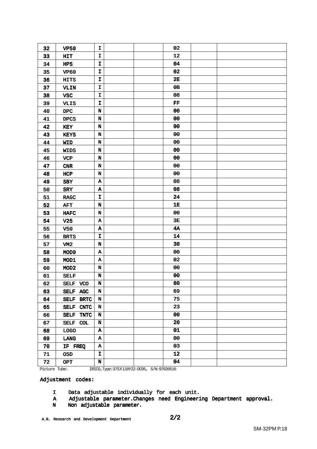| 32 | <b>VP50</b>         | I           | 02         |  |
|----|---------------------|-------------|------------|--|
| 33 | HIT                 | I           | 12         |  |
| 34 | <b>HPS</b>          | $\mathbf I$ | 04         |  |
| 35 | <b>VP60</b>         | I           | 02         |  |
| 36 | <b>HITS</b>         | I           | 2E         |  |
| 37 | <b>VLIN</b>         | I           | 0B         |  |
| 38 | <b>VSC</b>          | $\mathbf I$ | 08         |  |
| 39 | <b>VLIS</b>         | I           | FF         |  |
| 40 | $_{\rm DPC}$        | N           | 00         |  |
| 41 | <b>DPCS</b>         | $\mathbf N$ | 00         |  |
| 42 | KEY                 | N           | 00         |  |
| 43 | <b>KEYS</b>         | $\mathbf N$ | ${\bf 00}$ |  |
| 44 | <b>WID</b>          | $\mathbf N$ | 00         |  |
| 45 | <b>WIDS</b>         | N           | 00         |  |
| 46 | <b>VCP</b>          | N           | 00         |  |
| 47 | CNR                 | $\mathbf N$ | 00         |  |
| 48 | HCP                 | N           | 00         |  |
| 49 | <b>SBY</b>          | A           | 08         |  |
| 50 | <b>SRY</b>          | A           | 08         |  |
| 51 | <b>RAGC</b>         | I.          | 24         |  |
| 52 | <b>AFT</b>          | $\mathbf N$ | 1E         |  |
| 53 | ${\tt HAFC}$        | N           | 00         |  |
| 54 | V <sub>25</sub>     | A           | 3E         |  |
| 55 | <b>V50</b>          | A           | <b>4A</b>  |  |
| 56 | <b>BRTS</b>         | I           | 14         |  |
| 57 | VM <sub>2</sub>     | N           | 30         |  |
| 58 | MOD <sub>0</sub>    | A           | 00         |  |
| 59 | MOD1                | A           | 02         |  |
| 60 | MOD <sub>2</sub>    | N           | 00         |  |
| 61 | <b>SELF</b>         | $\mathbf N$ | 00         |  |
| 62 | SELF VCO            | N           | 80         |  |
| 63 | SELF AGC            | $\mathbf N$ | 69         |  |
| 64 | SELF BRTC           | N           | 75         |  |
| 65 | SELF CNTC           | N           | 23         |  |
| 66 | SELF<br><b>TNTC</b> | N           | 00         |  |
| 67 | SELF COL            | N           | 20         |  |
| 68 | $\Gamma$ OGO        | A           | 01         |  |
| 69 | LANG                | A           | 00         |  |
| 70 | IF FREQ             | A           | 03         |  |
| 71 | <b>OSD</b>          | I           | 12         |  |
| 72 | <b>OPT</b>          | $\mathbf N$ | 04         |  |
|    |                     |             | 0.00000000 |  |

Picture Tube: IRICO,Type:37SX110Y22-DC05, S/N:97020510

Adjustment codes:

- I Data adjustable individually for each unit.
- A Adjustable parameter.Changes need Engineering Department approval.
- N Non adjustable parameter.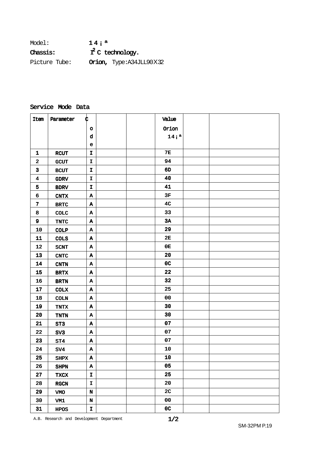| Model:          | 14i <sup>a</sup>    |                         |  |
|-----------------|---------------------|-------------------------|--|
| <b>Chassis:</b> | $T^2$ C technology. |                         |  |
| Picture Tube:   |                     | Orion, Type:A34JLL90X32 |  |

#### Service Mode Data

| Item                    | Parameter             | ¢                    |  | Value            |  |
|-------------------------|-----------------------|----------------------|--|------------------|--|
|                         |                       | $\circ$              |  | $Or$ ion         |  |
|                         |                       | d                    |  | 14i <sup>a</sup> |  |
|                         |                       | е                    |  |                  |  |
| $\mathbf{1}$            | <b>RCUT</b>           | $\mathbf{I}$         |  | <b>7E</b>        |  |
| $\mathbf{2}$            | <b>GCUT</b>           | $\mathbf{I}$         |  | 94               |  |
| 3                       | <b>BCUT</b>           | I.                   |  | 6D               |  |
| $\overline{\mathbf{4}}$ | <b>GDRV</b>           | I.                   |  | 40               |  |
| 5                       | <b>BDRV</b>           | $\mathbf{I}$         |  | 41               |  |
| 6                       | <b>CNTX</b>           | Α                    |  | 3F               |  |
| $\overline{7}$          | $\operatorname{BRTC}$ | A                    |  | 4 <sub>C</sub>   |  |
| 8                       | COLC                  | $\mathbf A$          |  | 33               |  |
| 9                       | <b>TNTC</b>           | $\boldsymbol{\tt A}$ |  | 3A               |  |
| 10                      | <b>COLP</b>           | Α                    |  | 29               |  |
| 11                      | <b>COLS</b>           | A                    |  | 2E               |  |
| 12                      | <b>SCNT</b>           | A                    |  | 0E               |  |
| 13                      | $\operatorname{CNTC}$ | Α                    |  | 20               |  |
| 14                      | <b>CNTN</b>           | A                    |  | 0 <sub>C</sub>   |  |
| 15                      | <b>BRTX</b>           | A                    |  | 22               |  |
| 16                      | <b>BRTN</b>           | Α                    |  | 32               |  |
| 17                      | <b>COLX</b>           | Α                    |  | 25               |  |
| 18                      | <b>COLN</b>           | A                    |  | 00               |  |
| 19                      | TNTX                  | Α                    |  | 30               |  |
| 20                      | TNTN                  | Α                    |  | 30               |  |
| 21                      | ST <sub>3</sub>       | A                    |  | 07               |  |
| 22                      | SV <sub>3</sub>       | Α                    |  | 07               |  |
| 23                      | ST4                   | A                    |  | 07               |  |
| 24                      | SV4                   | Α                    |  | 10               |  |
| 25                      | <b>SHPX</b>           | A                    |  | 10               |  |
| 26                      | <b>SHPN</b>           | $\, {\bf A}$         |  | 05               |  |
| 27                      | <b>TXCX</b>           | $\mathbf{I}$         |  | 25               |  |
| 28                      | RGCN                  | $\mathbf{I}$         |  | 20               |  |
| 29                      | <b>VMO</b>            | $\mathbf N$          |  | 2 <sub>C</sub>   |  |
| 30                      | VM1                   | $\mathbf N$          |  | $00\,$           |  |
| 31                      | <b>HPOS</b>           | $\mathbf I$          |  | $_{0c}$          |  |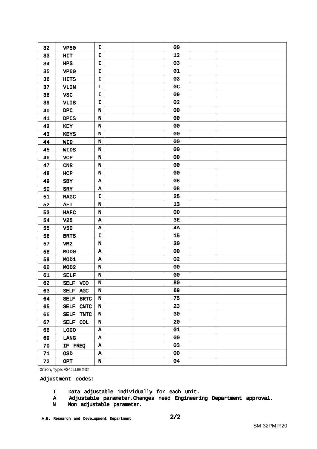| 32 | <b>VP50</b>                | I                         | 00             |  |
|----|----------------------------|---------------------------|----------------|--|
| 33 | HIT                        | I                         | 12             |  |
| 34 | HPS                        | $\mathbf I$               | 03             |  |
| 35 | <b>VP60</b>                | I                         | 01             |  |
| 36 | <b>HITS</b>                | $\mathbf I$               | 03             |  |
| 37 | VLIN                       | I                         | 0 <sub>C</sub> |  |
| 38 | <b>VSC</b>                 | I                         | 09             |  |
| 39 | <b>VLIS</b>                | I                         | 02             |  |
| 40 | $_{\rm DPC}$               | $\mathbf N$               | ${\bf 00}$     |  |
| 41 | <b>DPCS</b>                | $\mathbf N$               | 00             |  |
| 42 | KEY                        | $\mathbf N$               | 00             |  |
| 43 | <b>KEYS</b>                | $\mathbf N$               | 00             |  |
| 44 | <b>WID</b>                 | N                         | 00             |  |
| 45 | <b>WIDS</b>                | $\mathbf N$               | 00             |  |
| 46 | <b>VCP</b>                 | $\mathbf N$               | 00             |  |
| 47 | CNR                        | $\mathbf N$               | 00             |  |
| 48 | HCP                        | N                         | 00             |  |
| 49 | <b>SBY</b>                 | A                         | 08             |  |
| 50 | SRY                        | $\, {\bf A}$              | 08             |  |
| 51 | <b>RAGC</b>                | I                         | 25             |  |
| 52 | <b>AFT</b>                 | $\mathbf N$               | 13             |  |
| 53 | <b>HAFC</b>                | N                         | 00             |  |
| 54 | V <sub>25</sub>            | A                         | 3E             |  |
| 55 | <b>V50</b>                 | $\boldsymbol{\Lambda}$    | 4A             |  |
| 56 | <b>BRTS</b>                | $\mathbf I$               | 15             |  |
| 57 | VM <sub>2</sub>            | N                         | 30             |  |
| 58 | MOD <sub>0</sub>           | A                         | ${\bf 00}$     |  |
| 59 | MOD1                       | A                         | 02             |  |
| 60 | MOD <sub>2</sub>           | $\mathbf N$               | 00             |  |
| 61 | <b>SELF</b>                | $\mathbf N$               | 00             |  |
| 62 | SELF VCO                   | N                         | 80             |  |
| 63 | SELF AGC                   | $\mathbf N$               | 69             |  |
| 64 | SELF BRTC                  | $\mathbf N$               | 75             |  |
| 65 | SELF CNTC                  | $\mathbf N$               | 23             |  |
| 66 | <b>SELF</b><br><b>TNTC</b> | $\mathbf N$               | 30             |  |
| 67 | SELF COL                   | $\mathbf N$               | 20             |  |
| 68 | <b>LOGO</b>                | $\boldsymbol{\mathtt{A}}$ | 01             |  |
| 69 | LANG                       | $\boldsymbol{\Lambda}$    | 00             |  |
| 70 | IF FREQ                    | $\boldsymbol{\Lambda}$    | 03             |  |
| 71 | <b>OSD</b>                 | $\, {\bf A}$              | 00             |  |
| 72 | <b>OPT</b>                 | $\mathbf N$               | 04             |  |
|    |                            |                           |                |  |

Orion,Type:A34JLL90X32

Adjustment codes:

- I Data adjustable individually for each unit.
- A Adjustable parameter.Changes need Engineering Department approval.
- N Non adjustable parameter.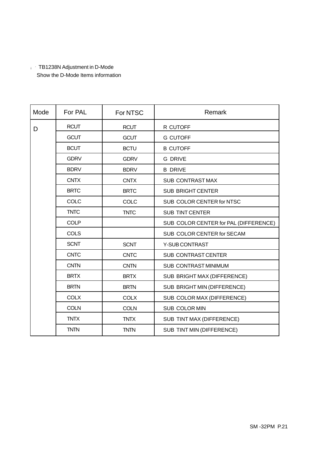### ¡ ´ TB1238N Adjustment in D-Mode Show the D-Mode Items information

| Mode | For PAL     | For NTSC    | Remark                                |
|------|-------------|-------------|---------------------------------------|
| D    | <b>RCUT</b> | <b>RCUT</b> | R CUTOFF                              |
|      | <b>GCUT</b> | <b>GCUT</b> | <b>G CUTOFF</b>                       |
|      | <b>BCUT</b> | <b>BCTU</b> | <b>B CUTOFF</b>                       |
|      | <b>GDRV</b> | <b>GDRV</b> | <b>G DRIVE</b>                        |
|      | <b>BDRV</b> | <b>BDRV</b> | <b>B DRIVE</b>                        |
|      | <b>CNTX</b> | <b>CNTX</b> | <b>SUB CONTRAST MAX</b>               |
|      | <b>BRTC</b> | <b>BRTC</b> | <b>SUB BRIGHT CENTER</b>              |
|      | <b>COLC</b> | COLC        | SUB COLOR CENTER for NTSC             |
|      | <b>TNTC</b> | <b>TNTC</b> | <b>SUB TINT CENTER</b>                |
|      | <b>COLP</b> |             | SUB COLOR CENTER for PAL (DIFFERENCE) |
|      | <b>COLS</b> |             | SUB COLOR CENTER for SECAM            |
|      | <b>SCNT</b> | <b>SCNT</b> | Y-SUB CONTRAST                        |
|      | <b>CNTC</b> | <b>CNTC</b> | SUB CONTRAST CENTER                   |
|      | <b>CNTN</b> | <b>CNTN</b> | <b>SUB CONTRAST MINIMUM</b>           |
|      | <b>BRTX</b> | <b>BRTX</b> | SUB BRIGHT MAX (DIFFERENCE)           |
|      | <b>BRTN</b> | <b>BRTN</b> | SUB BRIGHT MIN (DIFFERENCE)           |
|      | <b>COLX</b> | <b>COLX</b> | SUB COLOR MAX (DIFFERENCE)            |
|      | <b>COLN</b> | <b>COLN</b> | SUB COLOR MIN                         |
|      | <b>TNTX</b> | <b>TNTX</b> | SUB TINT MAX (DIFFERENCE)             |
|      | <b>TNTN</b> | <b>TNTN</b> | SUB TINT MIN (DIFFERENCE)             |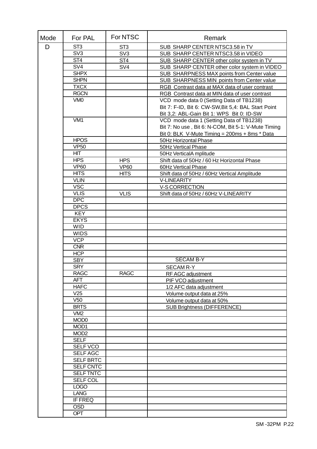| Mode | For PAL          | For NTSC        | Remark                                              |
|------|------------------|-----------------|-----------------------------------------------------|
| D    | ST <sub>3</sub>  | ST <sub>3</sub> | SUB SHARP CENTER NTSC3.58 in TV                     |
|      | SV3              | SV <sub>3</sub> | SUB SHARP CENTER NTSC3.58 in VIDEO                  |
|      | ST <sub>4</sub>  | ST <sub>4</sub> | SUB SHARP CENTER other color system in TV           |
|      | SV <sub>4</sub>  | SV <sub>4</sub> | SUB SHARP CENTER other color system in VIDEO        |
|      | <b>SHPX</b>      |                 | SUB SHARPNESS MAX points from Center value          |
|      | <b>SHPN</b>      |                 | SUB SHARPNESS MIN points from Center value          |
|      | <b>TXCX</b>      |                 | RGB Contrast data at MAX data of user contrast      |
|      | <b>RGCN</b>      |                 | RGB Contrast data at MIN data of user contrast      |
|      | VM <sub>0</sub>  |                 | VCD mode data 0 (Setting Data of TB1238)            |
|      |                  |                 | Bit 7: F-ID, Bit 6: CW-SW, Bit 5,4: BAL Start Point |
|      |                  |                 |                                                     |
|      |                  |                 | Bit 3,2: ABL-Gain Bit 1: WPS Bit 0: ID-SW           |
|      | VM <sub>1</sub>  |                 | VCD mode data 1 (Setting Data of TB1238)            |
|      |                  |                 | Bit 7: No use, Bit 6: N-COM, Bit 5-1: V-Mute Timing |
|      |                  |                 | Bit 0: BLK V-Mute Timing = 200ms + 8ms * Data       |
|      | <b>HPOS</b>      |                 | 50Hz Horizontal Phase                               |
|      | <b>VP50</b>      |                 | 50Hz Vertical Phase                                 |
|      | <b>HIT</b>       |                 | 50Hz VerticalA mplitude                             |
|      | <b>HPS</b>       | <b>HPS</b>      | Shift data of 50Hz / 60 Hz Horizontal Phase         |
|      | <b>VP60</b>      | <b>VP60</b>     | 60Hz Vertical Phase                                 |
|      | <b>HITS</b>      | <b>HITS</b>     | Shift data of 50Hz / 60Hz Vertical Amplitude        |
|      | <b>VLIN</b>      |                 | <b>V-LINEARITY</b>                                  |
|      | <b>VSC</b>       |                 | V-S CORRECTION                                      |
|      | <b>VLIS</b>      | <b>VLIS</b>     | Shift data of 50Hz / 60Hz V-LINEARITY               |
|      | <b>DPC</b>       |                 |                                                     |
|      | <b>DPCS</b>      |                 |                                                     |
|      | <b>KEY</b>       |                 |                                                     |
|      | <b>EKYS</b>      |                 |                                                     |
|      | <b>WID</b>       |                 |                                                     |
|      | <b>WIDS</b>      |                 |                                                     |
|      | <b>VCP</b>       |                 |                                                     |
|      | <b>CNR</b>       |                 |                                                     |
|      | HCP              |                 |                                                     |
|      | <b>SBY</b>       |                 | <b>SECAM B-Y</b>                                    |
|      | <b>SRY</b>       |                 | <b>SECAM R-Y</b>                                    |
|      | <b>RAGC</b>      | <b>RAGC</b>     | RF AGC adjustment                                   |
|      | <b>AFT</b>       |                 | PIF VCO adjustment                                  |
|      | <b>HAFC</b>      |                 | 1/2 AFC data adjustment                             |
|      | V25              |                 | Volume output data at 25%                           |
|      | V <sub>50</sub>  |                 | Volume output data at 50%                           |
|      | <b>BRTS</b>      |                 | <b>SUB Brightness (DIFFERENCE)</b>                  |
|      | VM <sub>2</sub>  |                 |                                                     |
|      | MOD <sub>0</sub> |                 |                                                     |
|      | MOD1             |                 |                                                     |
|      | MOD <sub>2</sub> |                 |                                                     |
|      | <b>SELF</b>      |                 |                                                     |
|      | <b>SELF VCO</b>  |                 |                                                     |
|      | <b>SELFAGC</b>   |                 |                                                     |
|      | <b>SELF BRTC</b> |                 |                                                     |
|      | SELF CNTC        |                 |                                                     |
|      | <b>SELF TNTC</b> |                 |                                                     |
|      | <b>SELF COL</b>  |                 |                                                     |
|      | <b>LOGO</b>      |                 |                                                     |
|      |                  |                 |                                                     |
|      | <b>LANG</b>      |                 |                                                     |
|      | <b>IFFREQ</b>    |                 |                                                     |
|      | OSD              |                 |                                                     |
|      | <b>OPT</b>       |                 |                                                     |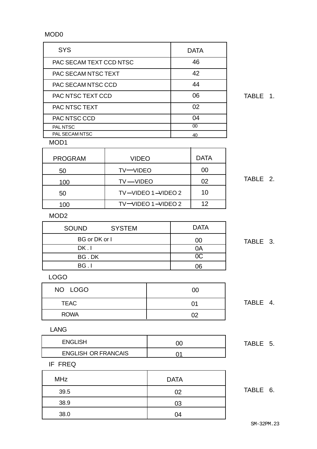## MOD0

| <b>SYS</b>                 | <b>DATA</b> |
|----------------------------|-------------|
| PAC SECAM TEXT CCD NTSC    | 46          |
| <b>PAC SECAM NTSC TEXT</b> | 42          |
| PAC SECAM NTSC CCD         | 44          |
| PAC NTSC TEXT CCD          | 06          |
| <b>PAC NTSC TEXT</b>       | 02          |
| <b>PAC NTSC CCD</b>        | 04          |
| PAL NTSC                   | 00          |
| <b>PAL SECAM NTSC</b>      | 40          |
| M∩∩1                       |             |

TABLE 1.

MOD1

| <b>PROGRAM</b> | <b>VIDEO</b>                       | <b>DATA</b> |
|----------------|------------------------------------|-------------|
| 50             | TV-VIDEO                           | 00          |
| 100            | TV-VIDEO                           | 02          |
| 50             | $TV$ -VIDEO 1 -VIDEO 2             | 10          |
| 100            | $TV$ $\neg$ VIDEO 1 $\neg$ VIDEO 2 | 12          |
|                |                                    |             |

TABLE 2.

#### MOD2

| <b>SOUND</b>         | <b>SYSTEM</b> | <b>DATA</b> |
|----------------------|---------------|-------------|
| <b>BG</b> or DK or I |               | Œ           |
| DK.I                 |               | JΑ          |
| BG.DK                |               | 0C.         |
| BG.I                 |               | າຣ          |

TABLE 3.

### LOGO

| NO LOGO     | 00 |
|-------------|----|
| <b>TEAC</b> | 01 |
| <b>ROWA</b> | በን |

# TABLE 4.

TABLE 5.

#### LANG

| <b>ENGLISH</b>             |  |
|----------------------------|--|
| <b>ENGLISH OR FRANCAIS</b> |  |

#### IF FREQ

| MHz  | <b>DATA</b> |          |
|------|-------------|----------|
| 39.5 | 02          | TABLE 6. |
| 38.9 | 03          |          |
| 38.0 | 04          |          |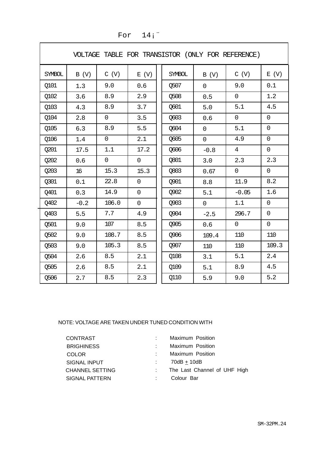| VOLTAGE TABLE FOR TRANSISTOR (ONLY FOR REFERENCE) |        |                |                |               |                |                |                |
|---------------------------------------------------|--------|----------------|----------------|---------------|----------------|----------------|----------------|
| <b>SYMBOL</b>                                     | B (V)  | C (V)          | E(V)           | <b>SYMBOL</b> | B (V)          | C (V)          | E(V)           |
| <b>0101</b>                                       | 1.3    | 9.0            | 0.6            | Q507          | $\overline{0}$ | 9.0            | 0.1            |
| Q102                                              | 3.6    | 8.9            | 2.9            | Q508          | 0.5            | 0              | 1.2            |
| Q103                                              | 4.3    | 8.9            | 3.7            | Q601          | 5.0            | 5.1            | 4.5            |
| Q104                                              | 2.8    | $\overline{0}$ | 3.5            | Q603          | 0.6            | $\mathsf{O}$   | $\overline{0}$ |
| Q105                                              | 6.3    | 8.9            | 5.5            | Q604          | 0              | 5.1            | $\overline{0}$ |
| Q106                                              | 1.4    | 0              | 2.1            | Q605          | 0              | 4.9            | $\overline{0}$ |
| Q201                                              | 17.5   | 1.1            | 17.2           | Q606          | $-0.8$         | $\overline{4}$ | $\mathbf 0$    |
| Q202                                              | 0.6    | 0              | 0              | Q801          | 3.0            | 2.3            | 2.3            |
| Q203                                              | 16     | 15.3           | 15.3           | Q803          | 0.67           | $\overline{0}$ | $\mathsf{O}$   |
| Q301                                              | 0.1    | 22.8           | $\overline{0}$ | Q901          | 8.8            | 11.9           | 8.2            |
| 0401                                              | 0.3    | 14.9           | 0              | <b>0902</b>   | 5.1            | $-0.05$        | 1.6            |
| Q402                                              | $-0.2$ | 106.0          | 0              | Q903          | 0              | 1.1            | $\overline{0}$ |
| Q403                                              | 5.5    | 7.7            | 4.9            | Q904          | $-2.5$         | 296.7          | $\mathbf 0$    |
| Q501                                              | 9.0    | 107            | 8.5            | <b>0905</b>   | 0.6            | $\overline{0}$ | $\overline{0}$ |
| Q502                                              | 9.0    | 108.7          | 8.5            | Q906          | 109.4          | 110            | 110            |
| Q503                                              | 9.0    | 105.3          | 8.5            | Q907          | 110            | 110            | 109.3          |
| Q504                                              | 2.6    | 8.5            | 2.1            | Q108          | 3.1            | 5.1            | 2.4            |
| Q505                                              | 2.6    | 8.5            | 2.1            | Q109          | 5.1            | 8.9            | 4.5            |
| Q506                                              | 2.7    | 8.5            | 2.3            | Q110          | 5.9            | 9.0            | 5.2            |

# For  $14$ ;

#### NOTE: VOLTAGE ARE TAKEN UNDER TUNED CONDITION WITH

| <b>CONTRAST</b>        | Maximum Position             |
|------------------------|------------------------------|
| <b>BRIGHINESS</b>      | Maximum Position             |
| <b>COLOR</b>           | <b>Maximum Position</b>      |
| SIGNAL INPUT           | $70dB + 10dB$                |
| <b>CHANNEL SETTING</b> | The Last Channel of UHF High |
| SIGNAL PATTERN         | Colour Bar                   |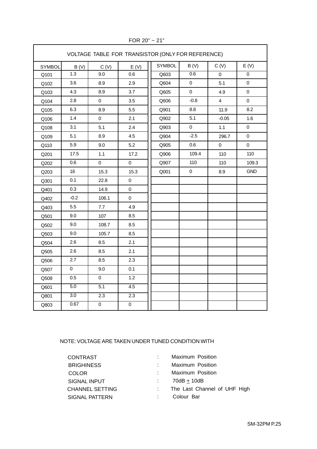| VOLTAGE TABLE FOR TRANSISTOR (ONLY FOR REFERENCE) |                  |                  |                |               |             |                |                |
|---------------------------------------------------|------------------|------------------|----------------|---------------|-------------|----------------|----------------|
| SYMBOL                                            | B(V)             | C(V)             | E(V)           | <b>SYMBOL</b> | B(V)        | C(V)           | E(V)           |
| Q101                                              | 1.3              | 9.0              | 0.6            | Q603          | 0.6         | $\mathbf 0$    | $\overline{0}$ |
| Q102                                              | 3.6              | 8.9              | 2.9            | Q604          | $\mathsf 0$ | 5.1            | $\pmb{0}$      |
| Q103                                              | 4.3              | 8.9              | 3.7            | Q605          | $\pmb{0}$   | 4.9            | $\pmb{0}$      |
| Q104                                              | 2.8              | $\pmb{0}$        | 3.5            | Q606          | $-0.8$      | $\overline{4}$ | $\pmb{0}$      |
| Q105                                              | 6.3              | 8.9              | 5.5            | Q901          | 8.8         | 11.9           | 8.2            |
| Q106                                              | 1.4              | $\mathsf 0$      | 2.1            | Q902          | 5.1         | $-0.05$        | 1.6            |
| Q108                                              | 3.1              | 5.1              | 2.4            | Q903          | $\mathsf 0$ | 1.1            | $\pmb{0}$      |
| Q109                                              | 5.1              | 8.9              | 4.5            | Q904          | $-2.5$      | 296.7          | 0              |
| Q110                                              | 5.9              | 9.0              | 5.2            | Q905          | $0.6\,$     | 0              | $\pmb{0}$      |
| Q201                                              | 17.5             | 1.1              | 17.2           | Q906          | 109.4       | 110            | 110            |
| Q202                                              | 0.6              | $\mathsf 0$      | $\mathsf 0$    | Q907          | 110         | 110            | 109.3          |
| Q203                                              | 16               | 15.3             | 15.3           | Q001          | $\pmb{0}$   | 8.9            | <b>GND</b>     |
| Q301                                              | 0.1              | 22.8             | $\mathsf 0$    |               |             |                |                |
| Q401                                              | 0.3              | 14.9             | $\mathbf 0$    |               |             |                |                |
| Q402                                              | $-0.2$           | 106.1            | $\mathbf 0$    |               |             |                |                |
| Q403                                              | 5.5              | 7.7              | 4.9            |               |             |                |                |
| Q501                                              | 9.0              | 107              | 8.5            |               |             |                |                |
| Q502                                              | 9.0              | 108.7            | 8.5            |               |             |                |                |
| Q503                                              | 9.0              | 105.7            | 8.5            |               |             |                |                |
| Q504                                              | 2.6              | 8.5              | 2.1            |               |             |                |                |
| Q505                                              | 2.6              | 8.5              | 2.1            |               |             |                |                |
| Q506                                              | 2.7              | 8.5              | 2.3            |               |             |                |                |
| Q507                                              | $\mathbf 0$      | 9.0              | 0.1            |               |             |                |                |
| Q508                                              | 0.5              | $\mathsf 0$      | 1.2            |               |             |                |                |
| Q601                                              | 5.0              | 5.1              | 4.5            |               |             |                |                |
| Q801                                              | $\overline{3.0}$ | $\overline{2.3}$ | 2.3            |               |             |                |                |
| Q803                                              | 0.67             | $\overline{0}$   | $\overline{0}$ |               |             |                |                |

FOR 20" ~ 21"

#### NOTE: VOLTAGE ARE TAKEN UNDER TUNED CONDITION WITH

| <b>CONTRAST</b>        | Maximum Position             |
|------------------------|------------------------------|
| <b>BRIGHINESS</b>      | Maximum Position             |
| <b>COLOR</b>           | Maximum Position             |
| <b>SIGNAL INPUT</b>    | 70dB + 10dB                  |
| <b>CHANNEL SETTING</b> | The Last Channel of UHF High |
| SIGNAL PATTERN         | Colour Bar                   |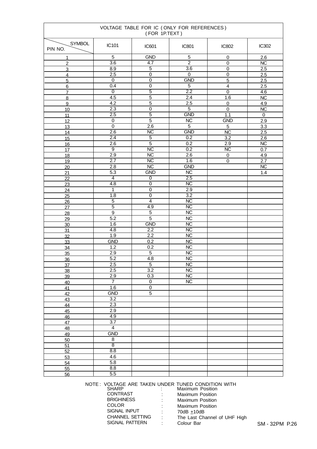| VOLTAGE TABLE FOR IC (ONLY FOR REFERENCES)<br>(FOR 1P.TEXT) |                                  |                                    |                        |                             |                        |
|-------------------------------------------------------------|----------------------------------|------------------------------------|------------------------|-----------------------------|------------------------|
| <b>SYMBOL</b><br>PIN NO.                                    | IC101                            | IC601                              | <b>IC801</b>           | IC802                       | IC302                  |
| 1                                                           | 5                                | <b>GND</b>                         | 5                      | 0                           | 2.6                    |
| $\overline{c}$                                              | $\overline{3.6}$                 | 4.7                                | $\overline{2}$         | $\overline{0}$              | $\overline{NC}$        |
| 3                                                           | 8.9                              | $\overline{5}$                     | $\overline{3.6}$       | 0                           | 2.5                    |
| $\overline{4}$                                              | $\overline{2.5}$                 | $\overline{0}$                     | $\overline{0}$         | $\mathsf 0$                 | 2.5                    |
| $\overline{5}$                                              | $\mathbf 0$                      | $\overline{0}$                     | <b>GND</b>             | $\overline{5}$              | 2.5                    |
| 6                                                           | 0.4                              | $\mathbf 0$                        | $\sqrt{5}$             | $\overline{\mathbf{4}}$     | $2.5\,$                |
| $\overline{7}$                                              | 0                                | $\overline{5}$                     | 2.2                    | $\overline{0}$              | 4.6                    |
| 8                                                           | 4.5                              | $\overline{5}$                     | 2.4                    | 1.6                         | NC                     |
| $\overline{9}$                                              | 4.2<br>2.3                       | $\overline{5}$<br>$\boldsymbol{0}$ | 2.5<br>$\overline{5}$  | $\pmb{0}$<br>$\overline{0}$ | 4.9                    |
| 10<br>11                                                    | 2.5                              | $\overline{5}$                     | <b>GND</b>             | 1.1                         | NC<br>$\mathbf 0$      |
| 12                                                          | $\pmb{0}$                        | $\overline{5}$                     | $\overline{NC}$        | <b>GND</b>                  | 2.9                    |
| 13                                                          | $\overline{0}$                   | $\overline{2.6}$                   | $\overline{5}$         | $\overline{5}$              | 3.3                    |
| 14                                                          | 2.6                              | $\overline{\text{NC}}$             | <b>GND</b>             | $\overline{\text{NC}}$      | $2.5\,$                |
| 15                                                          | 2.4                              | $\overline{5}$                     | 0.2                    | $\overline{3.2}$            | $\overline{2.6}$       |
| 16                                                          | $\overline{2.6}$                 | $\overline{5}$                     | 0.2                    | 2.9                         | NC                     |
| 17                                                          | $\overline{9}$                   | $\overline{\text{NC}}$             | 0.2                    | $\overline{\text{NC}}$      | 0.7                    |
| 18                                                          | $\overline{2.9}$                 | $\overline{\text{NC}}$             | 2.6                    | 0                           | 4.9                    |
| 19                                                          | $\overline{2.7}$                 | $\overline{\text{NC}}$             | 1.6                    | $\overline{0}$              | 2.7                    |
| 20                                                          | 2.8                              | $\overline{\text{NC}}$             | <b>GND</b>             |                             | $\overline{\text{NC}}$ |
| 21                                                          | $\overline{5.3}$                 | <b>GND</b>                         | $\overline{NC}$        |                             | 1.4                    |
| $\overline{22}$                                             | $\overline{4}$                   | $\overline{0}$                     | 2.5                    |                             |                        |
| 23                                                          | $\overline{4.8}$                 | $\overline{0}$                     | $\overline{NC}$        |                             |                        |
| 24                                                          | $\overline{1}$                   | $\overline{0}$                     | 2.9                    |                             |                        |
| $\overline{25}$                                             | $\overline{1.8}$                 | $\overline{\mathfrak{o}}$          | $\overline{3.2}$       |                             |                        |
| 26                                                          | $\overline{5}$                   | $\overline{4}$                     | $\overline{\text{NC}}$ |                             |                        |
| 27                                                          | $\overline{5}$<br>$\overline{9}$ | 4.9<br>$\overline{5}$              | NC<br>NC               |                             |                        |
| 28                                                          | 5.2                              | $\overline{5}$                     | $\overline{NC}$        |                             |                        |
| 29<br>30                                                    | 1.6                              | <b>GND</b>                         | $\overline{\text{NC}}$ |                             |                        |
| 31                                                          | $\overline{4.8}$                 | 2.2                                | $\overline{\text{NC}}$ |                             |                        |
| 32                                                          | 1.9                              | 2.2                                | $\overline{NC}$        |                             |                        |
| 33                                                          | <b>GND</b>                       | 0.2                                | NC                     |                             |                        |
| 34                                                          | 1.2                              | 0.2                                | $NC$                   |                             |                        |
| 35                                                          | 2.9                              | $\overline{5}$                     | $\overline{\text{NC}}$ |                             |                        |
| 36                                                          | $\overline{5.2}$                 | 4.8                                | $\overline{NC}$        |                             |                        |
| 37                                                          | 2.5                              | 5                                  | <b>NC</b>              |                             |                        |
| 38                                                          | 2.5                              | $\overline{3.2}$                   | $\overline{NC}$        |                             |                        |
| 39                                                          | 2.9                              | 0.3                                | $\overline{\text{NC}}$ |                             |                        |
| 40                                                          | $\overline{7}$                   | $\mathsf{O}\xspace$                | $\overline{NC}$        |                             |                        |
| 41                                                          | 1.6                              | $\overline{0}$                     |                        |                             |                        |
| 42                                                          | <b>GND</b>                       | $\overline{5}$                     |                        |                             |                        |
| 43                                                          | $\overline{3.2}$<br>2.3          |                                    |                        |                             |                        |
| 44                                                          | 2.9                              |                                    |                        |                             |                        |
| 45<br>46                                                    | 4.9                              |                                    |                        |                             |                        |
| 47                                                          | $\overline{3.7}$                 |                                    |                        |                             |                        |
| 48                                                          | $\overline{4}$                   |                                    |                        |                             |                        |
| 49                                                          | <b>GND</b>                       |                                    |                        |                             |                        |
| 50                                                          | $\overline{8}$                   |                                    |                        |                             |                        |
| $\overline{51}$                                             | $\overline{8}$                   |                                    |                        |                             |                        |
| 52                                                          | 8.8                              |                                    |                        |                             |                        |
| 53                                                          | 4.6                              |                                    |                        |                             |                        |
| 54                                                          | 5.8                              |                                    |                        |                             |                        |
| 55                                                          | 8.8                              |                                    |                        |                             |                        |
| 56                                                          | 5.5                              |                                    |                        |                             |                        |

NOTE : VOLTAGE ARE TAKEN UNDER TUNED CONDITION WITH

| <b>SHARP</b>           |          | Maximum Position             |
|------------------------|----------|------------------------------|
| <b>CONTRAST</b>        | ÷        | <b>Maximum Position</b>      |
| <b>BRIGHINESS</b>      | ÷.       | <b>Maximum Position</b>      |
| <b>COLOR</b>           | <b>.</b> | <b>Maximum Position</b>      |
| SIGNAL INPUT           | di s     | 70dB +10dB                   |
| <b>CHANNEL SETTING</b> | ٠        | The Last Channel of UHF High |
| SIGNAL PATTERN         |          | Colour Bar                   |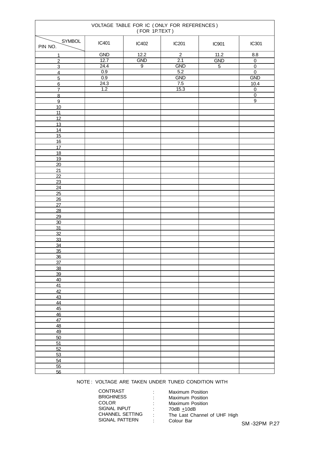| VOLTAGE TABLE FOR IC (ONLY FOR REFERENCES)<br>(FOR 1P.TEXT) |       |                   |                  |                |                                  |
|-------------------------------------------------------------|-------|-------------------|------------------|----------------|----------------------------------|
| SYMBOL<br>PIN NO.                                           | IC401 | IC402             | IC201            | <b>IC901</b>   | IC301                            |
| $\mathbf{1}$                                                | GND   | $\overline{12.2}$ | $\overline{2}$   | 11.2           | 8.8                              |
| $\overline{2}$                                              | 12.7  | GND               | $\overline{2.1}$ | GND            | $\overline{0}$                   |
| $\overline{3}$                                              | 24.4  | $\overline{9}$    | <b>GND</b>       | $\overline{5}$ | $\overline{0}$                   |
| $\overline{4}$                                              | 0.9   |                   | 5.2              |                | $\overline{0}$                   |
| $\overline{5}$                                              | 0.9   |                   | GND              |                | GND                              |
| $6 \overline{}$                                             | 24.3  |                   | 7.5              |                | 10.4                             |
| $\overline{7}$                                              | 1.2   |                   | 15.3             |                | $\overline{0}$<br>$\overline{0}$ |
| $\overline{8}$<br>$\overline{9}$                            |       |                   |                  |                | $\boldsymbol{9}$                 |
| 10                                                          |       |                   |                  |                |                                  |
| $\overline{11}$                                             |       |                   |                  |                |                                  |
| 12                                                          |       |                   |                  |                |                                  |
| 13                                                          |       |                   |                  |                |                                  |
| 14                                                          |       |                   |                  |                |                                  |
| 15                                                          |       |                   |                  |                |                                  |
| 16                                                          |       |                   |                  |                |                                  |
| 17<br>18                                                    |       |                   |                  |                |                                  |
| 19                                                          |       |                   |                  |                |                                  |
| 20                                                          |       |                   |                  |                |                                  |
| 21                                                          |       |                   |                  |                |                                  |
| $\overline{22}$                                             |       |                   |                  |                |                                  |
| 23                                                          |       |                   |                  |                |                                  |
| 24                                                          |       |                   |                  |                |                                  |
| 25                                                          |       |                   |                  |                |                                  |
| 26                                                          |       |                   |                  |                |                                  |
| 27                                                          |       |                   |                  |                |                                  |
| $\overline{28}$<br>29                                       |       |                   |                  |                |                                  |
| 30                                                          |       |                   |                  |                |                                  |
| 31                                                          |       |                   |                  |                |                                  |
| 32                                                          |       |                   |                  |                |                                  |
| 33                                                          |       |                   |                  |                |                                  |
| 34                                                          |       |                   |                  |                |                                  |
| $\frac{35}{5}$                                              |       |                   |                  |                |                                  |
| 36                                                          |       |                   |                  |                |                                  |
| 37<br>38                                                    |       |                   |                  |                |                                  |
| 39                                                          |       |                   |                  |                |                                  |
| 40                                                          |       |                   |                  |                |                                  |
| 41                                                          |       |                   |                  |                |                                  |
| 42                                                          |       |                   |                  |                |                                  |
| 43                                                          |       |                   |                  |                |                                  |
| 44                                                          |       |                   |                  |                |                                  |
| 45                                                          |       |                   |                  |                |                                  |
| 46                                                          |       |                   |                  |                |                                  |
| 47<br>48                                                    |       |                   |                  |                |                                  |
| 49                                                          |       |                   |                  |                |                                  |
| 50                                                          |       |                   |                  |                |                                  |
| $\overline{51}$                                             |       |                   |                  |                |                                  |
| 52                                                          |       |                   |                  |                |                                  |
| 53                                                          |       |                   |                  |                |                                  |
| 54                                                          |       |                   |                  |                |                                  |
| 55                                                          |       |                   |                  |                |                                  |
| 56                                                          |       |                   |                  |                |                                  |

#### NOTE : VOLTAGE ARE TAKEN UNDER TUNED CONDITION WITH

| <b>CONTRAST</b>        |  |
|------------------------|--|
| <b>BRIGHINESS</b>      |  |
| <b>COLOR</b>           |  |
| SIGNAL INPUT           |  |
| <b>CHANNEL SETTING</b> |  |
| SIGNAL PATTERN         |  |

Maximum Position Maximum Position Maximum Position 70dB  $\pm$ 10dB The Last Channel of UHF High Colour Bar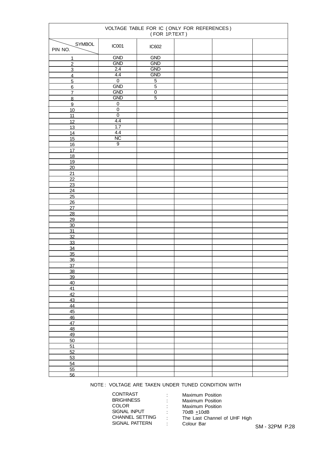| VOLTAGE TABLE FOR IC (ONLY FOR REFERENCES)<br>(FOR 1P.TEXT) |                             |                |  |  |  |
|-------------------------------------------------------------|-----------------------------|----------------|--|--|--|
| SYMBOL<br>PIN NO.                                           | <b>IC001</b>                | IC602          |  |  |  |
| 1                                                           | GND                         | <b>GND</b>     |  |  |  |
| $\overline{2}$                                              | <b>GND</b>                  | <b>GND</b>     |  |  |  |
| $\overline{3}$                                              | 2.4                         | <b>GND</b>     |  |  |  |
| $\overline{4}$                                              | 4.4                         | <b>GND</b>     |  |  |  |
| $\overline{5}$                                              | $\overline{0}$              | $\overline{5}$ |  |  |  |
| $6 \overline{}$                                             | <b>GND</b>                  | $\overline{5}$ |  |  |  |
| $\overline{7}$                                              | <b>GND</b>                  | $\overline{0}$ |  |  |  |
| $\overline{8}$                                              | <b>GND</b>                  | $\overline{5}$ |  |  |  |
| $\overline{9}$                                              | $\pmb{0}$<br>$\overline{0}$ |                |  |  |  |
| 10<br>11                                                    | $\overline{0}$              |                |  |  |  |
| 12                                                          | 4.4                         |                |  |  |  |
| 13                                                          | 1.7                         |                |  |  |  |
| 14                                                          | 4.4                         |                |  |  |  |
| 15                                                          | $\overline{\text{NC}}$      |                |  |  |  |
| 16                                                          | $\overline{9}$              |                |  |  |  |
| 17                                                          |                             |                |  |  |  |
| 18                                                          |                             |                |  |  |  |
| 19                                                          |                             |                |  |  |  |
| 20                                                          |                             |                |  |  |  |
| 21                                                          |                             |                |  |  |  |
| $\overline{22}$                                             |                             |                |  |  |  |
| 23                                                          |                             |                |  |  |  |
| 24                                                          |                             |                |  |  |  |
| $\overline{25}$                                             |                             |                |  |  |  |
| 26                                                          |                             |                |  |  |  |
| 27                                                          |                             |                |  |  |  |
| $\overline{28}$                                             |                             |                |  |  |  |
| 29<br>$\overline{30}$                                       |                             |                |  |  |  |
| 31                                                          |                             |                |  |  |  |
| 32                                                          |                             |                |  |  |  |
| 33                                                          |                             |                |  |  |  |
| 34                                                          |                             |                |  |  |  |
| 35                                                          |                             |                |  |  |  |
| 36                                                          |                             |                |  |  |  |
| $\overline{37}$                                             |                             |                |  |  |  |
| 38                                                          |                             |                |  |  |  |
| 39                                                          |                             |                |  |  |  |
| 40                                                          |                             |                |  |  |  |
| 41                                                          |                             |                |  |  |  |
| 42                                                          |                             |                |  |  |  |
| 43                                                          |                             |                |  |  |  |
| 44                                                          |                             |                |  |  |  |
| 45<br>46                                                    |                             |                |  |  |  |
| 47                                                          |                             |                |  |  |  |
| 48                                                          |                             |                |  |  |  |
| 49                                                          |                             |                |  |  |  |
| 50                                                          |                             |                |  |  |  |
| 51                                                          |                             |                |  |  |  |
| 52                                                          |                             |                |  |  |  |
| 53                                                          |                             |                |  |  |  |
| 54                                                          |                             |                |  |  |  |
| 55                                                          |                             |                |  |  |  |
| 56                                                          |                             |                |  |  |  |

NOTE : VOLTAGE ARE TAKEN UNDER TUNED CONDITION WITH

| CONTRAST               |  |
|------------------------|--|
| <b>BRIGHINESS</b>      |  |
| COLOR                  |  |
| <b>SIGNAL INPUT</b>    |  |
| <b>CHANNEL SETTING</b> |  |
| SIGNAL PATTERN         |  |
|                        |  |

Maximum Position Maximum Position Maximum Position  $70dB \pm 10dB$ The Last Channel of UHF High Colour Bar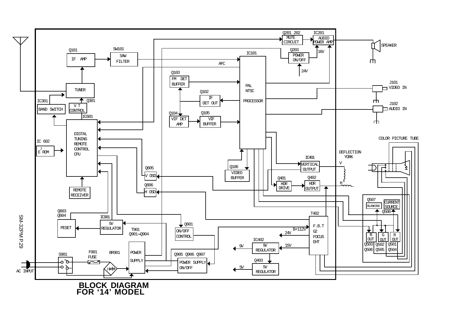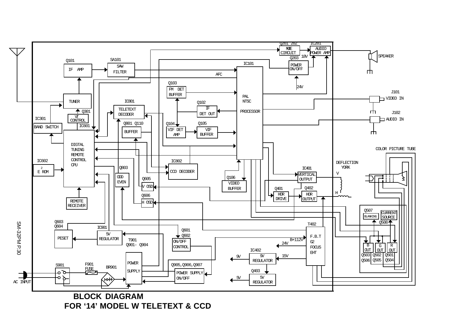**FOR '14' MODEL W TELETEXT & CCD**

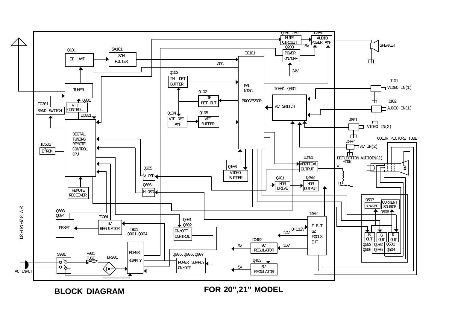**BLOCK DIAGRAM**

**FOR 20",21" MODEL**

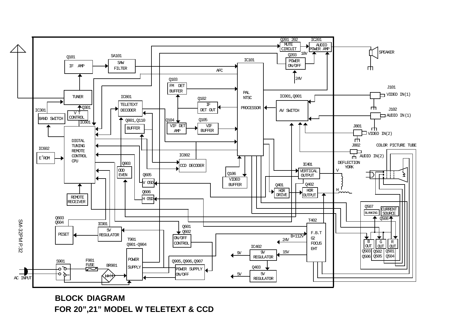# **BLOCK DIAGRAM FOR 20",21" MODEL W TELETEXT & CCD**

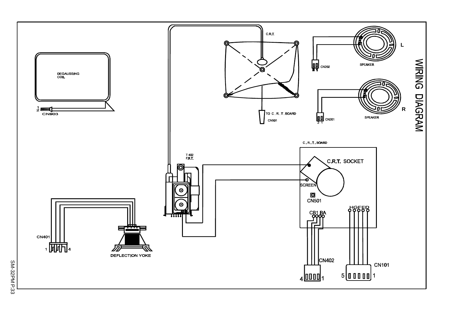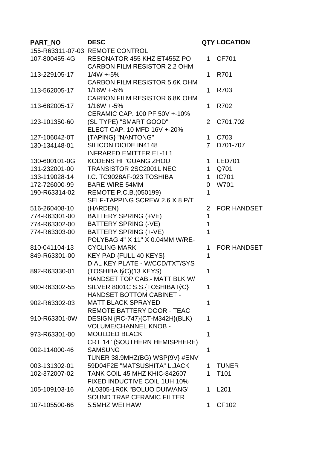| PART_NO       | <b>DESC</b>                          |                | <b>QTY LOCATION</b> |
|---------------|--------------------------------------|----------------|---------------------|
|               | 155-R63311-07-03 REMOTE CONTROL      |                |                     |
| 107-800455-4G | RESONATOR 455 KHZ ET455Z PO          | 1              | CF701               |
|               | <b>CARBON FILM RESISTOR 2.2 OHM</b>  |                |                     |
| 113-229105-17 | $1/4W + 5%$                          | 1.             | R701                |
|               | <b>CARBON FILM RESISTOR 5.6K OHM</b> |                |                     |
| 113-562005-17 | $1/16W + 5%$                         | 1              | R703                |
|               | <b>CARBON FILM RESISTOR 6.8K OHM</b> |                |                     |
| 113-682005-17 | $1/16W + 5%$                         | 1.             | R702                |
|               | CERAMIC CAP, 100 PF 50V +-10%        |                |                     |
| 123-101350-60 | (SL TYPE) "SMART GOOD"               | 2              | C701,702            |
|               | ELECT CAP. 10 MFD 16V +-20%          |                |                     |
| 127-106042-0T | <b>{TAPING} "NANTONG"</b>            | $\mathbf 1$    | C703                |
| 130-134148-01 | <b>SILICON DIODE IN4148</b>          | $\overline{7}$ | D701-707            |
|               | <b>INFRARED EMITTER EL-1L1</b>       |                |                     |
| 130-600101-0G | <b>KODENS HI "GUANG ZHOU</b>         | $\mathbf{1}$   | <b>LED701</b>       |
| 131-232001-00 | <b>TRANSISTOR 2SC2001L NEC</b>       | $\mathbf 1$    | Q701                |
| 133-119028-14 | I.C. TC9028AF-023 TOSHIBA            | $\mathbf 1$    | <b>IC701</b>        |
| 172-726000-99 | <b>BARE WIRE 54MM</b>                | $\overline{0}$ | W701                |
| 190-R63314-02 | REMOTE P.C.B. (050199)               | 1              |                     |
|               | SELF-TAPPING SCREW 2.6 X 8 P/T       |                |                     |
| 516-260408-10 | (HARDEN)                             | 2              | <b>FOR HANDSET</b>  |
| 774-R63301-00 | <b>BATTERY SPRING (+VE)</b>          | 1              |                     |
| 774-R63302-00 | <b>BATTERY SPRING (-VE)</b>          | 1              |                     |
| 774-R63303-00 | BATTERY SPRING (+-VE)                | 1              |                     |
|               | POLYBAG 4" X 11" X 0.04MM W/RE-      |                |                     |
| 810-041104-13 | <b>CYCLING MARK</b>                  | 1              | <b>FOR HANDSET</b>  |
| 849-R63301-00 | KEY PAD {FULL 40 KEYS}               | 1              |                     |
|               | DIAL KEY PLATE - W/CCD/TXT/SYS       |                |                     |
| 892-R63330-01 | (TOSHIBA IýC)(13 KEYS)               | 1              |                     |
|               | <b>HANDSET TOP CAB.- MATT BLK W/</b> |                |                     |
| 900-R63302-55 | SILVER 8001C S.S.{TOSHIBA IýC}       | 1              |                     |
|               | <b>HANDSET BOTTOM CABINET -</b>      |                |                     |
| 902-R63302-03 | <b>MATT BLACK SPRAYED</b>            | 1              |                     |
|               | REMOTE BATTERY DOOR - TEAC           |                |                     |
| 910-R63301-0W | DESIGN {RC-747}{CT-M342H}(BLK)       | 1              |                     |
|               | <b>VOLUME/CHANNEL KNOB -</b>         |                |                     |
| 973-R63301-00 | <b>MOULDED BLACK</b>                 | 1              |                     |
|               | CRT 14" (SOUTHERN HEMISPHERE)        |                |                     |
| 002-114000-46 | <b>SAMSUNG</b>                       | 1              |                     |
|               | TUNER 38.9MHZ(BG) WSP{9V} #ENV       |                |                     |
| 003-131302-01 | 59D04F2E "MATSUSHITA" L.JACK         | 1.             | <b>TUNER</b>        |
| 102-372007-02 | TANK COIL 45 MHZ KHIC-842607         | 1.             | T <sub>101</sub>    |
|               | FIXED INDUCTIVE COIL 1UH 10%         |                |                     |
| 105-109103-16 | AL0305-1R0K "BOLUO DUIWANG"          | 1.             | L <sub>201</sub>    |
|               | <b>SOUND TRAP CERAMIC FILTER</b>     |                |                     |
| 107-105500-66 | 5.5MHZ WEI HAW                       | 1.             | CF102               |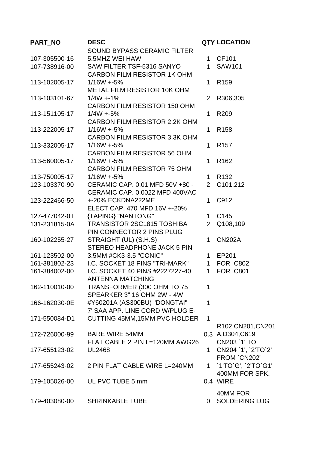| PART_NO       | <b>DESC</b>                          |                | <b>QTY LOCATION</b>   |
|---------------|--------------------------------------|----------------|-----------------------|
|               | <b>SOUND BYPASS CERAMIC FILTER</b>   |                |                       |
| 107-305500-16 | 5.5MHZ WEI HAW                       | $\mathbf 1$    | CF101                 |
| 107-738916-00 | SAW FILTER TSF-5316 SANYO            | 1 <sup>1</sup> | <b>SAW101</b>         |
|               | <b>CARBON FILM RESISTOR 1K OHM</b>   |                |                       |
| 113-102005-17 | $1/16W + 5%$                         | 1              | R <sub>159</sub>      |
|               | <b>METAL FILM RESISTOR 10K OHM</b>   |                |                       |
| 113-103101-67 | $1/4W + 1%$                          | $\overline{2}$ | R306,305              |
|               | <b>CARBON FILM RESISTOR 150 OHM</b>  |                |                       |
| 113-151105-17 | $1/4W + 5%$                          | 1              | R209                  |
|               | <b>CARBON FILM RESISTOR 2.2K OHM</b> |                |                       |
| 113-222005-17 | $1/16W + 5%$                         | $\mathbf{1}$   | R <sub>158</sub>      |
|               | <b>CARBON FILM RESISTOR 3.3K OHM</b> |                |                       |
| 113-332005-17 | $1/16W + 5%$                         | 1              | R <sub>157</sub>      |
|               | <b>CARBON FILM RESISTOR 56 OHM</b>   |                |                       |
| 113-560005-17 | $1/16W + 5%$                         | 1              | R <sub>162</sub>      |
|               | <b>CARBON FILM RESISTOR 75 OHM</b>   |                |                       |
| 113-750005-17 | $1/16W + 5%$                         | 1              | R <sub>132</sub>      |
| 123-103370-90 | CERAMIC CAP. 0.01 MFD 50V +80 -      | $\overline{2}$ | C101,212              |
|               | CERAMIC CAP. 0.0022 MFD 400VAC       |                |                       |
| 123-222466-50 | +-20% ECKDNA222ME                    | $\mathbf{1}$   | C912                  |
|               | ELECT CAP. 470 MFD 16V +-20%         |                |                       |
| 127-477042-0T | {TAPING} "NANTONG"                   | $\mathbf 1$    | C145                  |
| 131-231815-0A | <b>TRANSISTOR 2SC1815 TOSHIBA</b>    | $\overline{2}$ | Q108,109              |
|               | PIN CONNECTOR 2 PINS PLUG            |                |                       |
| 160-102255-27 | STRAIGHT (UL) (S.H.S)                | $\mathbf{1}$   | <b>CN202A</b>         |
|               | <b>STEREO HEADPHONE JACK 5 PIN</b>   |                |                       |
| 161-123502-00 | 3.5MM #CK3-3.5 "CONIC"               | $\mathbf{1}$   | EP201                 |
| 161-381802-23 | I.C. SOCKET 18 PINS "TRI-MARK"       |                | 1 FOR IC802           |
| 161-384002-00 | I.C. SOCKET 40 PINS #2227227-40      | 1              | <b>FOR IC801</b>      |
|               | <b>ANTENNA MATCHING</b>              |                |                       |
| 162-110010-00 | TRANSFORMER (300 OHM TO 75           | 1              |                       |
|               | SPEARKER 3" 16 OHM 2W - 4W           |                |                       |
| 166-162030-0E | #Y60201A (AS300BU) "DONGTAI"         | 1              |                       |
|               | 7' SAA APP. LINE CORD W/PLUG E-      |                |                       |
| 171-550084-D1 | CUTTING 45MM, 15MM PVC HOLDER        | $\mathbf{1}$   |                       |
|               |                                      |                | R102, CN201, CN201    |
| 172-726000-99 | <b>BARE WIRE 54MM</b>                |                | 0.3 A, D304, C619     |
|               | FLAT CABLE 2 PIN L=120MM AWG26       |                | CN203 `1' TO          |
| 177-655123-02 | <b>UL2468</b>                        | 1              | CN204 '1', '2'TO'2'   |
|               |                                      |                | FROM `CN202'          |
| 177-655243-02 | 2 PIN FLAT CABLE WIRE L=240MM        |                | 1 `1'TO`G', `2'TO`G1' |
|               |                                      |                | 400MM FOR SPK.        |
| 179-105026-00 | UL PVC TUBE 5 mm                     |                | 0.4 WIRE              |
|               |                                      |                | 40MM FOR              |
| 179-403080-00 | <b>SHRINKABLE TUBE</b>               | 0              | <b>SOLDERING LUG</b>  |
|               |                                      |                |                       |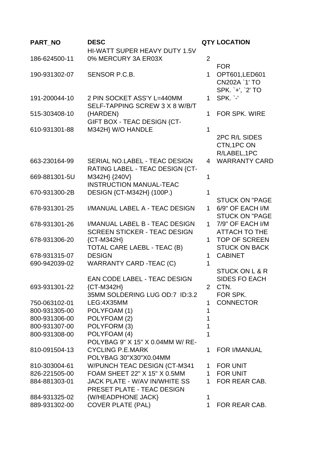| PART_NO                        | <b>DESC</b>                         |                       | <b>QTY LOCATION</b>                       |
|--------------------------------|-------------------------------------|-----------------------|-------------------------------------------|
|                                | HI-WATT SUPER HEAVY DUTY 1.5V       |                       |                                           |
| 186-624500-11                  | 0% MERCURY 3A ER03X                 | $\overline{2}$        |                                           |
|                                |                                     |                       | <b>FOR</b>                                |
| 190-931302-07                  | SENSOR P.C.B.                       | 1                     | OPT601, LED601                            |
|                                |                                     |                       | CN202A `1' TO                             |
| 191-200044-10                  | 2 PIN SOCKET ASS'Y L=440MM          | $\mathbf{1}$          | SPK. `+', `2' TO<br>SPK. `-'              |
|                                | SELF-TAPPING SCREW 3 X 8 W/B/T      |                       |                                           |
| 515-303408-10                  | (HARDEN)                            | $\mathbf 1$           | <b>FOR SPK, WIRE</b>                      |
|                                | GIFT BOX - TEAC DESIGN {CT-         |                       |                                           |
| 610-931301-88                  | M342H} W/O HANDLE                   | $\mathbf{1}$          |                                           |
|                                |                                     |                       | 2PC R/L SIDES                             |
|                                |                                     |                       | CTN, 1PC ON                               |
|                                |                                     |                       | R/LABEL, 1PC                              |
| 663-230164-99                  | SERIAL NO.LABEL - TEAC DESIGN       | 4                     | <b>WARRANTY CARD</b>                      |
|                                | RATING LABEL - TEAC DESIGN {CT-     |                       |                                           |
| 669-881301-5U                  | M342H} {240V}                       | 1                     |                                           |
|                                | <b>INSTRUCTION MANUAL-TEAC</b>      |                       |                                           |
| 670-931300-2B                  | DESIGN {CT-M342H} (100P.)           | 1                     |                                           |
| 678-931301-25                  | I/MANUAL LABEL A - TEAC DESIGN      | $\mathbf{1}$          | <b>STUCK ON "PAGE</b><br>6/9" OF EACH I/M |
|                                |                                     |                       | <b>STUCK ON "PAGE</b>                     |
| 678-931301-26                  | I/MANUAL LABEL B - TEAC DESIGN      | $\mathbf 1$           | 7/9" OF EACH I/M                          |
|                                | <b>SCREEN STICKER - TEAC DESIGN</b> |                       | <b>ATTACH TO THE</b>                      |
| 678-931306-20                  | ${C}$ T-M342H}                      | 1.                    | <b>TOP OF SCREEN</b>                      |
|                                | TOTAL CARE LAEBL - TEAC (B)         |                       | <b>STUCK ON BACK</b>                      |
| 678-931315-07                  | <b>DESIGN</b>                       | $\mathbf{1}$          | <b>CABINET</b>                            |
| 690-942039-02                  | <b>WARRANTY CARD -TEAC (C)</b>      | 1                     |                                           |
|                                |                                     |                       | <b>STUCK ON L &amp; R</b>                 |
|                                | EAN CODE LABEL - TEAC DESIGN        |                       | SIDES FO EACH                             |
| 693-931301-22                  | ${C}$ T-M342H $}$                   | $\mathbf{2}^{\prime}$ | CTN.                                      |
|                                | 35MM SOLDERING LUG OD:7 ID:3.2      |                       | FOR SPK.                                  |
| 750-063102-01                  | LEG:4X35MM                          | 1                     | <b>CONNECTOR</b>                          |
| 800-931305-00                  | POLYFOAM (1)                        | 1                     |                                           |
| 800-931306-00<br>800-931307-00 | POLYFOAM (2)<br>POLYFORM (3)        | 1<br>$\mathbf{1}$     |                                           |
| 800-931308-00                  | POLYFOAM (4)                        | 1                     |                                           |
|                                | POLYBAG 9" X 15" X 0.04MM W/ RE-    |                       |                                           |
| 810-091504-13                  | <b>CYCLING P.E.MARK</b>             | 1                     | FOR I/MANUAL                              |
|                                | POLYBAG 30"X30"X0.04MM              |                       |                                           |
| 810-303004-61                  | W/PUNCH TEAC DESIGN (CT-M341        |                       | 1 FOR UNIT                                |
| 826-221505-00                  | FOAM SHEET 22" X 15" X 0.5MM        | $\mathbf{1}$          | <b>FOR UNIT</b>                           |
| 884-881303-01                  | JACK PLATE - W/AV IN/WHITE SS       | $\mathbf 1$           | FOR REAR CAB.                             |
|                                | PRESET PLATE - TEAC DESIGN          |                       |                                           |
| 884-931325-02                  | {W/HEADPHONE JACK}                  | 1                     |                                           |
| 889-931302-00                  | <b>COVER PLATE (PAL)</b>            | $\mathbf{1}$          | FOR REAR CAB.                             |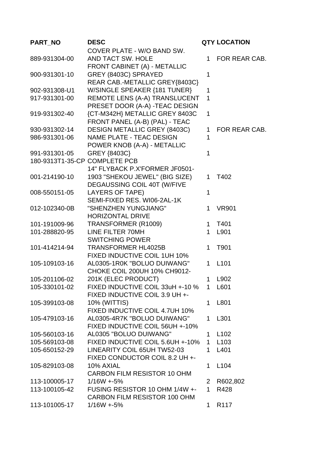| PART_NO                       | <b>DESC</b>                                |                | <b>QTY LOCATION</b> |
|-------------------------------|--------------------------------------------|----------------|---------------------|
|                               | COVER PLATE - W/O BAND SW.                 |                |                     |
| 889-931304-00                 | AND TACT SW. HOLE                          | 1              | FOR REAR CAB.       |
|                               | FRONT CABINET (A) - METALLIC               |                |                     |
| 900-931301-10                 | GREY (8403C) SPRAYED                       | 1              |                     |
|                               | REAR CAB.-METALLIC GREY{8403C}             |                |                     |
| 902-931308-U1                 | W/SINGLE SPEAKER {181 TUNER}               | 1              |                     |
| 917-931301-00                 | REMOTE LENS (A-A) TRANSLUCENT              | 1              |                     |
|                               | PRESET DOOR (A-A) -TEAC DESIGN             |                |                     |
| 919-931302-40                 | {CT-M342H} METALLIC GREY 8403C             | 1              |                     |
|                               | FRONT PANEL (A-B) (PAL) - TEAC             |                |                     |
| 930-931302-14                 | <b>DESIGN METALLIC GREY (8403C)</b>        | 1              | FOR REAR CAB.       |
| 986-931301-06                 | <b>NAME PLATE - TEAC DESIGN</b>            | 1              |                     |
|                               | POWER KNOB (A-A) - METALLIC                |                |                     |
| 991-931301-05                 | GREY {8403C}                               | 1              |                     |
| 180-9313T1-35-CP COMPLETE PCB |                                            |                |                     |
|                               | 14" FLYBACK P.X'FORMER JF0501-             |                |                     |
| 001-214190-10                 | 1903 "SHEKOU JEWEL" (BIG SIZE)             | 1              | T402                |
|                               | DEGAUSSING COIL 40T (W/FIVE                |                |                     |
| 008-550151-05                 | <b>LAYERS OF TAPE)</b>                     | 1              |                     |
|                               | SEMI-FIXED RES. WI06-2AL-1K                |                |                     |
| 012-102340-0B                 | "SHENZHEN YUNGJIANG"                       | 1              | <b>VR901</b>        |
|                               | <b>HORIZONTAL DRIVE</b>                    |                |                     |
| 101-191009-96                 | TRANSFORMER (R1009)                        | 1              | T401                |
| 101-288820-95                 | LINE FILTER 70MH<br><b>SWITCHING POWER</b> | 1              | L901                |
| 101-414214-94                 | <b>TRANSFORMER HL4025B</b>                 | 1              | T901                |
|                               | FIXED INDUCTIVE COIL 1UH 10%               |                |                     |
| 105-109103-16                 | AL0305-1R0K "BOLUO DUIWANG"                | 1              | L <sub>101</sub>    |
|                               | CHOKE COIL 200UH 10% CH9012-               |                |                     |
| 105-201106-02                 | 201K (ELEC PRODUCT)                        |                | L902                |
| 105-330101-02                 | FIXED INDUCTIVE COIL 33uH +-10 %           | 1              | L601                |
|                               | FIXED INDUCTIVE COIL 3.9 UH +-             |                |                     |
| 105-399103-08                 | 10% (WITTIS)                               | 1.             | L801                |
|                               | FIXED INDUCTIVE COIL 4.7UH 10%             |                |                     |
| 105-479103-16                 | AL0305-4R7K "BOLUO DUIWANG"                | 1              | L301                |
|                               | FIXED INDUCTIVE COIL 56UH +-10%            |                |                     |
| 105-560103-16                 | AL0305 "BOLUO DUIWANG"                     | 1.             | L <sub>102</sub>    |
| 105-569103-08                 | FIXED INDUCTIVE COIL 5.6UH +-10%           | $\mathbf{1}$   | L <sub>103</sub>    |
| 105-650152-29                 | LINEARITY COIL 65UH TW52-03                | $\mathbf 1$    | L401                |
|                               | FIXED CONDUCTOR COIL 8.2 UH +-             |                |                     |
| 105-829103-08                 | 10% AXIAL                                  | 1.             | L <sub>104</sub>    |
|                               | <b>CARBON FILM RESISTOR 10 OHM</b>         |                |                     |
| 113-100005-17                 | $1/16W + 5%$                               | $\overline{2}$ | R602,802            |
| 113-100105-42                 | FUSING RESISTOR 10 OHM 1/4W +-             | $\mathbf 1$    | R428                |
|                               | CARBON FILM RESISTOR 100 OHM               |                |                     |
| 113-101005-17                 | $1/16W + 5%$                               | 1              | R <sub>117</sub>    |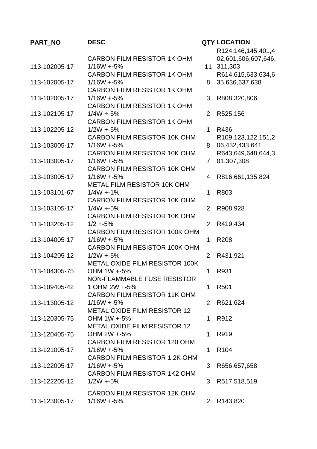| PART_NO       | <b>DESC</b>                                         |                       | <b>QTY LOCATION</b> |
|---------------|-----------------------------------------------------|-----------------------|---------------------|
|               |                                                     |                       | R124,146,145,401,4  |
|               | <b>CARBON FILM RESISTOR 1K OHM</b>                  |                       | 02,601,606,607,646, |
| 113-102005-17 | $1/16W + 5%$                                        | 11                    | 311,303             |
|               | <b>CARBON FILM RESISTOR 1K OHM</b>                  |                       | R614,615,633,634,6  |
| 113-102005-17 | $1/16W + 5%$                                        | 8                     | 35,636,637,638      |
|               | <b>CARBON FILM RESISTOR 1K OHM</b>                  |                       |                     |
| 113-102005-17 | $1/16W + 5%$                                        | 3                     | R808,320,806        |
|               | <b>CARBON FILM RESISTOR 1K OHM</b>                  |                       |                     |
| 113-102105-17 | $1/4W + 5%$                                         | $\overline{2}$        | R525,156            |
|               | <b>CARBON FILM RESISTOR 1K OHM</b>                  |                       |                     |
| 113-102205-12 | $1/2W + 5%$                                         | $\mathbf 1$           | R436                |
|               | <b>CARBON FILM RESISTOR 10K OHM</b>                 |                       | R109,123,122,151,2  |
| 113-103005-17 | $1/16W + 5%$                                        | 8                     | 06,432,433,641      |
|               | CARBON FILM RESISTOR 10K OHM                        |                       | R643,649,648,644,3  |
| 113-103005-17 | $1/16W + 5%$                                        | $\overline{7}$        | 01,307,308          |
|               | <b>CARBON FILM RESISTOR 10K OHM</b>                 |                       |                     |
| 113-103005-17 | $1/16W + 5%$                                        | 4                     | R816,661,135,824    |
|               | METAL FILM RESISTOR 10K OHM                         |                       |                     |
| 113-103101-67 | $1/4W + 1%$                                         | 1                     | R803                |
|               | <b>CARBON FILM RESISTOR 10K OHM</b>                 |                       |                     |
| 113-103105-17 | $1/4W + 5%$                                         | $\overline{2}$        | R908,928            |
|               | <b>CARBON FILM RESISTOR 10K OHM</b>                 |                       |                     |
| 113-103205-12 | $1/2 + 5%$                                          | $\overline{2}$        | R419,434            |
|               | CARBON FILM RESISTOR 100K OHM                       |                       |                     |
| 113-104005-17 | $1/16W + 5%$                                        | 1                     | R208                |
|               | CARBON FILM RESISTOR 100K OHM                       |                       |                     |
| 113-104205-12 | $1/2W + 5%$                                         | $\overline{2}$        | R431,921            |
|               | METAL OXIDE FILM RESISTOR 100K                      |                       |                     |
| 113-104305-75 | OHM 1W +-5%                                         | 1                     | R931                |
|               | NON-FLAMMABLE FUSE RESISTOR                         |                       |                     |
| 113-109405-42 | 1 OHM 2W +-5%                                       | 1.                    | R <sub>501</sub>    |
|               | <b>CARBON FILM RESISTOR 11K OHM</b><br>$1/16W + 5%$ |                       |                     |
| 113-113005-12 | <b>METAL OXIDE FILM RESISTOR 12</b>                 | $\overline{2}$        | R621,624            |
| 113-120305-75 | OHM 1W +-5%                                         | 1                     | R912                |
|               | <b>METAL OXIDE FILM RESISTOR 12</b>                 |                       |                     |
| 113-120405-75 | OHM 2W +-5%                                         | 1                     | R919                |
|               | <b>CARBON FILM RESISTOR 120 OHM</b>                 |                       |                     |
| 113-121005-17 | $1/16W + 5%$                                        | 1                     | R <sub>104</sub>    |
|               | <b>CARBON FILM RESISTOR 1.2K OHM</b>                |                       |                     |
| 113-122005-17 | $1/16W + 5%$                                        | 3                     | R656,657,658        |
|               | <b>CARBON FILM RESISTOR 1K2 OHM</b>                 |                       |                     |
| 113-122205-12 | $1/2W + 5%$                                         | 3                     | R517,518,519        |
|               |                                                     |                       |                     |
|               | <b>CARBON FILM RESISTOR 12K OHM</b>                 |                       |                     |
| 113-123005-17 | $1/16W + 5%$                                        | $\mathbf{2}^{\prime}$ | R143,820            |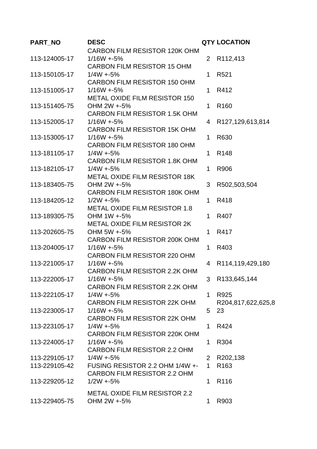| PART_NO       | <b>DESC</b>                                         |                | <b>QTY LOCATION</b> |
|---------------|-----------------------------------------------------|----------------|---------------------|
|               | <b>CARBON FILM RESISTOR 120K OHM</b>                |                |                     |
| 113-124005-17 | $1/16W + 5%$                                        | $\overline{2}$ | R112,413            |
|               | <b>CARBON FILM RESISTOR 15 OHM</b>                  |                |                     |
| 113-150105-17 | $1/4W + 5%$                                         | 1              | R <sub>521</sub>    |
|               | <b>CARBON FILM RESISTOR 150 OHM</b>                 |                |                     |
| 113-151005-17 | $1/16W + 5%$                                        | 1              | R412                |
|               | <b>METAL OXIDE FILM RESISTOR 150</b>                |                |                     |
| 113-151405-75 | OHM 2W +-5%                                         | 1              | R <sub>160</sub>    |
|               | <b>CARBON FILM RESISTOR 1.5K OHM</b>                |                |                     |
| 113-152005-17 | $1/16W + 5%$                                        | 4              | R127,129,613,814    |
|               | <b>CARBON FILM RESISTOR 15K OHM</b>                 |                |                     |
| 113-153005-17 | $1/16W + 5%$                                        | 1              | R630                |
|               | <b>CARBON FILM RESISTOR 180 OHM</b>                 |                |                     |
| 113-181105-17 | $1/4W + 5%$                                         | 1              | R <sub>148</sub>    |
|               | <b>CARBON FILM RESISTOR 1.8K OHM</b>                |                |                     |
| 113-182105-17 | $1/4W + 5%$                                         | 1              | R906                |
|               | <b>METAL OXIDE FILM RESISTOR 18K</b>                |                |                     |
| 113-183405-75 | OHM 2W +-5%                                         | 3              | R502,503,504        |
|               | <b>CARBON FILM RESISTOR 180K OHM</b>                |                |                     |
| 113-184205-12 | $1/2W + 5%$                                         | 1              | R418                |
|               | <b>METAL OXIDE FILM RESISTOR 1.8</b><br>OHM 1W +-5% |                | R407                |
| 113-189305-75 | <b>METAL OXIDE FILM RESISTOR 2K</b>                 | 1              |                     |
| 113-202605-75 | OHM 5W +-5%                                         | 1              | R417                |
|               | <b>CARBON FILM RESISTOR 200K OHM</b>                |                |                     |
| 113-204005-17 | $1/16W + 5%$                                        | 1              | R403                |
|               | CARBON FILM RESISTOR 220 OHM                        |                |                     |
| 113-221005-17 | $1/16W + 5%$                                        | 4              | R114,119,429,180    |
|               | <b>CARBON FILM RESISTOR 2.2K OHM</b>                |                |                     |
| 113-222005-17 | $1/16W + 5%$                                        | 3              | R133,645,144        |
|               | <b>CARBON FILM RESISTOR 2.2K OHM</b>                |                |                     |
| 113-222105-17 | $1/4W + 5%$                                         | 1.             | R925                |
|               | <b>CARBON FILM RESISTOR 22K OHM</b>                 |                | R204,817,622,625,8  |
| 113-223005-17 | $1/16W + 5%$                                        | 5              | 23                  |
|               | <b>CARBON FILM RESISTOR 22K OHM</b>                 |                |                     |
| 113-223105-17 | $1/4W + 5%$                                         | 1.             | R424                |
|               | <b>CARBON FILM RESISTOR 220K OHM</b>                |                |                     |
| 113-224005-17 | $1/16W + 5%$                                        | 1              | R304                |
|               | CARBON FILM RESISTOR 2.2 OHM                        |                |                     |
| 113-229105-17 | $1/4W + 5%$                                         |                | 2 R202,138          |
| 113-229105-42 | FUSING RESISTOR 2.2 OHM 1/4W +-                     | $\mathbf 1$    | R <sub>163</sub>    |
|               | <b>CARBON FILM RESISTOR 2.2 OHM</b>                 |                |                     |
| 113-229205-12 | $1/2W + 5%$                                         | 1              | R <sub>116</sub>    |
|               | <b>METAL OXIDE FILM RESISTOR 2.2</b>                |                |                     |
| 113-229405-75 | OHM 2W +-5%                                         | $\mathbf 1$    | R903                |
|               |                                                     |                |                     |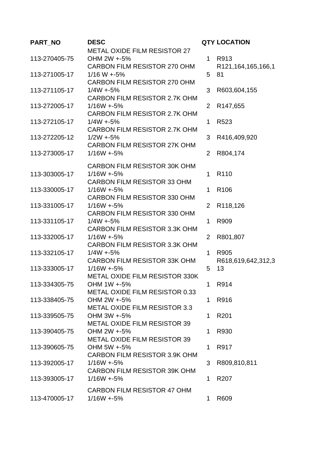| PART_NO       | <b>DESC</b>                                         |                | <b>QTY LOCATION</b>  |
|---------------|-----------------------------------------------------|----------------|----------------------|
|               | <b>METAL OXIDE FILM RESISTOR 27</b>                 |                |                      |
| 113-270405-75 | OHM 2W +-5%                                         | $\mathbf 1$    | R913                 |
|               | CARBON FILM RESISTOR 270 OHM                        |                | R121,164,165,166,1   |
| 113-271005-17 | $1/16 W + 5%$                                       | 5              | 81                   |
|               | CARBON FILM RESISTOR 270 OHM                        |                |                      |
| 113-271105-17 | $1/4W + 5%$                                         | 3              | R603,604,155         |
|               | <b>CARBON FILM RESISTOR 2.7K OHM</b>                |                |                      |
| 113-272005-17 | $1/16W + 5%$                                        | $\overline{2}$ | R <sub>147,655</sub> |
| 113-272105-17 | CARBON FILM RESISTOR 2.7K OHM<br>$1/4W + 5%$        | 1              | R <sub>523</sub>     |
|               | <b>CARBON FILM RESISTOR 2.7K OHM</b>                |                |                      |
| 113-272205-12 | $1/2W + 5%$                                         | 3              | R416,409,920         |
|               | <b>CARBON FILM RESISTOR 27K OHM</b>                 |                |                      |
| 113-273005-17 | $1/16W + 5%$                                        | $\overline{2}$ | R804,174             |
|               |                                                     |                |                      |
|               | <b>CARBON FILM RESISTOR 30K OHM</b>                 |                |                      |
| 113-303005-17 | $1/16W + 5%$                                        | $\mathbf 1$    | R <sub>110</sub>     |
|               | <b>CARBON FILM RESISTOR 33 OHM</b>                  | 1              | R <sub>106</sub>     |
| 113-330005-17 | $1/16W + 5%$<br><b>CARBON FILM RESISTOR 330 OHM</b> |                |                      |
| 113-331005-17 | $1/16W + 5%$                                        | $\overline{2}$ | R118,126             |
|               | <b>CARBON FILM RESISTOR 330 OHM</b>                 |                |                      |
| 113-331105-17 | $1/4W + 5%$                                         | 1              | R909                 |
|               | CARBON FILM RESISTOR 3.3K OHM                       |                |                      |
| 113-332005-17 | $1/16W + 5%$                                        | $\overline{2}$ | R801,807             |
|               | CARBON FILM RESISTOR 3.3K OHM                       |                |                      |
| 113-332105-17 | $1/4W + 5%$                                         | 1              | R905                 |
|               | <b>CARBON FILM RESISTOR 33K OHM</b>                 |                | R618,619,642,312,3   |
| 113-333005-17 | $1/16W + 5%$                                        | 5              | 13                   |
|               | METAL OXIDE FILM RESISTOR 330K                      |                |                      |
| 113-334305-75 | OHM 1W +-5%                                         | 1.             | R914                 |
|               | <b>METAL OXIDE FILM RESISTOR 0.33</b>               |                |                      |
| 113-338405-75 | OHM 2W +-5%<br><b>METAL OXIDE FILM RESISTOR 3.3</b> | 1.             | R916                 |
| 113-339505-75 | OHM 3W +-5%                                         | 1              | R <sub>201</sub>     |
|               | METAL OXIDE FILM RESISTOR 39                        |                |                      |
| 113-390405-75 | OHM 2W +-5%                                         | 1              | R930                 |
|               | <b>METAL OXIDE FILM RESISTOR 39</b>                 |                |                      |
| 113-390605-75 | OHM 5W +-5%                                         | 1              | R917                 |
|               | <b>CARBON FILM RESISTOR 3.9K OHM</b>                |                |                      |
| 113-392005-17 | $1/16W + 5%$                                        | 3              | R809,810,811         |
|               | CARBON FILM RESISTOR 39K OHM                        |                |                      |
| 113-393005-17 | $1/16W + 5%$                                        | 1              | R <sub>20</sub> 7    |
|               | <b>CARBON FILM RESISTOR 47 OHM</b>                  |                |                      |
| 113-470005-17 | $1/16W + 5%$                                        | 1              | R609                 |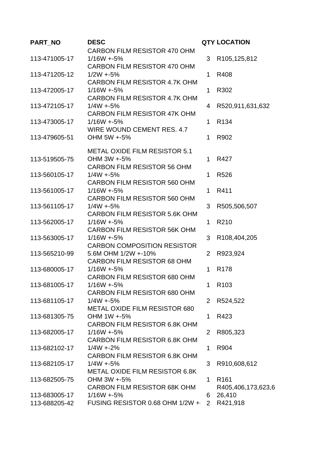| PART_NO |               | <b>DESC</b>                                        |                | <b>QTY LOCATION</b> |
|---------|---------------|----------------------------------------------------|----------------|---------------------|
|         |               | CARBON FILM RESISTOR 470 OHM                       |                |                     |
|         | 113-471005-17 | $1/16W + 5%$                                       | 3              | R105,125,812        |
|         |               | CARBON FILM RESISTOR 470 OHM                       |                |                     |
|         | 113-471205-12 | $1/2W + 5%$                                        | 1              | R408                |
|         |               | CARBON FILM RESISTOR 4.7K OHM                      |                |                     |
|         | 113-472005-17 | $1/16W + 5%$                                       | 1              | R302                |
|         |               | CARBON FILM RESISTOR 4.7K OHM                      |                |                     |
|         | 113-472105-17 | $1/4W + 5%$                                        | 4              | R520,911,631,632    |
|         |               | <b>CARBON FILM RESISTOR 47K OHM</b>                |                |                     |
|         | 113-473005-17 | $1/16W + 5%$                                       | 1              | R <sub>134</sub>    |
|         |               | WIRE WOUND CEMENT RES. 4.7                         |                |                     |
|         | 113-479605-51 | OHM 5W +-5%                                        | 1              | R902                |
|         |               | <b>METAL OXIDE FILM RESISTOR 5.1</b>               |                |                     |
|         | 113-519505-75 | OHM 3W +-5%                                        | 1              | R427                |
|         |               | <b>CARBON FILM RESISTOR 56 OHM</b>                 |                |                     |
|         | 113-560105-17 | $1/4W + 5%$                                        | 1              | R <sub>526</sub>    |
|         |               | <b>CARBON FILM RESISTOR 560 OHM</b>                |                |                     |
|         | 113-561005-17 | $1/16W + 5%$                                       | 1              | R411                |
|         |               | <b>CARBON FILM RESISTOR 560 OHM</b>                |                |                     |
|         | 113-561105-17 | $1/4W + 5%$                                        | 3              | R505,506,507        |
|         |               | <b>CARBON FILM RESISTOR 5.6K OHM</b>               |                |                     |
|         | 113-562005-17 | $1/16W + 5%$                                       | 1              | R210                |
|         |               | CARBON FILM RESISTOR 56K OHM                       |                |                     |
|         | 113-563005-17 | $1/16W + 5%$                                       | 3              | R108,404,205        |
|         |               | <b>CARBON COMPOSITION RESISTOR</b>                 |                |                     |
|         | 113-565210-99 | 5.6M OHM 1/2W +-10%                                | $\overline{2}$ | R923,924            |
|         |               | <b>CARBON FILM RESISTOR 68 OHM</b>                 |                |                     |
|         | 113-680005-17 | $1/16W + 5%$                                       | 1              | R <sub>178</sub>    |
|         |               | CARBON FILM RESISTOR 680 OHM                       |                |                     |
|         | 113-681005-17 | $1/16W + 5%$                                       | 1              | R <sub>103</sub>    |
|         | 113-681105-17 | <b>CARBON FILM RESISTOR 680 OHM</b><br>$1/4W + 5%$ | $\overline{2}$ |                     |
|         |               | <b>METAL OXIDE FILM RESISTOR 680</b>               |                | R524,522            |
|         | 113-681305-75 | OHM 1W +-5%                                        | 1              | R423                |
|         |               | <b>CARBON FILM RESISTOR 6.8K OHM</b>               |                |                     |
|         | 113-682005-17 | $1/16W + 5%$                                       | $\overline{2}$ | R805,323            |
|         |               | <b>CARBON FILM RESISTOR 6.8K OHM</b>               |                |                     |
|         | 113-682102-17 | $1/4W + 2%$                                        | 1              | R904                |
|         |               | <b>CARBON FILM RESISTOR 6.8K OHM</b>               |                |                     |
|         | 113-682105-17 | $1/4W + 5%$                                        | 3              | R910,608,612        |
|         |               | <b>METAL OXIDE FILM RESISTOR 6.8K</b>              |                |                     |
|         | 113-682505-75 | OHM 3W +-5%                                        | 1              | R <sub>161</sub>    |
|         |               | <b>CARBON FILM RESISTOR 68K OHM</b>                |                | R405,406,173,623,6  |
|         | 113-683005-17 | $1/16W + 5%$                                       | 6              | 26,410              |
|         | 113-688205-42 | FUSING RESISTOR 0.68 OHM 1/2W +                    | $2^{\circ}$    | R421,918            |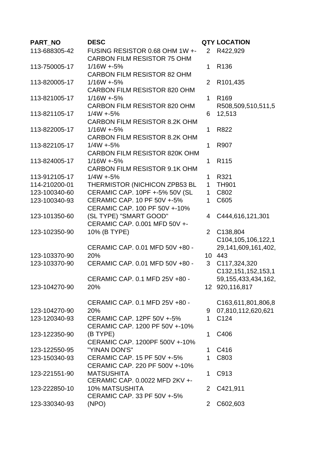| PART_NO       | <b>DESC</b>                                          |                | <b>QTY LOCATION</b>     |
|---------------|------------------------------------------------------|----------------|-------------------------|
| 113-688305-42 | FUSING RESISTOR 0.68 OHM 1W +-                       | $\overline{2}$ | R422,929                |
|               | <b>CARBON FILM RESISTOR 75 OHM</b>                   |                |                         |
| 113-750005-17 | $1/16W + 5%$                                         | $\mathbf 1$    | R <sub>136</sub>        |
|               | <b>CARBON FILM RESISTOR 82 OHM</b>                   |                |                         |
| 113-820005-17 | $1/16W + 5%$                                         | 2              | R101,435                |
|               | <b>CARBON FILM RESISTOR 820 OHM</b>                  |                |                         |
| 113-821005-17 | $1/16W + 5%$                                         | $\mathbf{1}$   | R <sub>169</sub>        |
|               | <b>CARBON FILM RESISTOR 820 OHM</b>                  |                | R508,509,510,511,5      |
| 113-821105-17 | $1/4W + 5%$                                          | 6              | 12,513                  |
|               | <b>CARBON FILM RESISTOR 8.2K OHM</b><br>$1/16W + 5%$ | $\mathbf 1$    | R822                    |
| 113-822005-17 | CARBON FILM RESISTOR 8.2K OHM                        |                |                         |
| 113-822105-17 | $1/4W + 5%$                                          | 1              | R907                    |
|               | <b>CARBON FILM RESISTOR 820K OHM</b>                 |                |                         |
| 113-824005-17 | $1/16W + 5%$                                         | 1              | R <sub>115</sub>        |
|               | <b>CARBON FILM RESISTOR 9.1K OHM</b>                 |                |                         |
| 113-912105-17 | $1/4W + 5%$                                          | 1              | R321                    |
| 114-210200-01 | THERMISTOR (NICHICON ZPB53 BL                        | $\mathbf{1}$   | <b>TH901</b>            |
| 123-100340-60 | CERAMIC CAP. 10PF +-5% 50V (SL                       | $\mathbf{1}$   | C802                    |
| 123-100340-93 | CERAMIC CAP, 10 PF 50V +-5%                          | 1              | C605                    |
|               | CERAMIC CAP. 100 PF 50V +-10%                        |                |                         |
| 123-101350-60 | (SL TYPE) "SMART GOOD"                               | 4              | C444,616,121,301        |
|               | CERAMIC CAP. 0.001 MFD 50V +-                        |                |                         |
| 123-102350-90 | 10% (B TYPE)                                         | $\overline{2}$ | C138,804                |
|               |                                                      |                | C104,105,106,122,1      |
|               | CERAMIC CAP. 0.01 MFD 50V +80 -                      |                | 29, 141, 609, 161, 402, |
| 123-103370-90 | 20%                                                  |                | 10 443                  |
| 123-103370-90 | CERAMIC CAP. 0.01 MFD 50V +80 -                      | 3              | C117,324,320            |
|               |                                                      |                | C132, 151, 152, 153, 1  |
|               | CERAMIC CAP. 0.1 MFD 25V +80 -                       |                | 59, 155, 433, 434, 162, |
| 123-104270-90 | 20%                                                  |                | 12 920,116,817          |
|               | CERAMIC CAP. 0.1 MFD 25V +80 -                       |                | C163,611,801,806,8      |
| 123-104270-90 | 20%                                                  | 9              | 07,810,112,620,621      |
| 123-120340-93 | CERAMIC CAP. 12PF 50V +-5%                           | 1              | C <sub>124</sub>        |
|               | CERAMIC CAP. 1200 PF 50V +-10%                       |                |                         |
| 123-122350-90 | (B TYPE)                                             | 1              | C406                    |
|               | CERAMIC CAP. 1200PF 500V +-10%                       |                |                         |
| 123-122550-95 | "YINAN DON'S"                                        | $\mathbf 1$    | C416                    |
| 123-150340-93 | CERAMIC CAP. 15 PF 50V +-5%                          | 1              | C803                    |
|               | CERAMIC CAP. 220 PF 500V +-10%                       |                |                         |
| 123-221551-90 | <b>MATSUSHITA</b>                                    | 1              | C913                    |
|               | CERAMIC CAP. 0.0022 MFD 2KV +-                       |                |                         |
| 123-222850-10 | <b>10% MATSUSHITA</b>                                | $\overline{2}$ | C421,911                |
|               | CERAMIC CAP. 33 PF 50V +-5%                          |                |                         |
| 123-330340-93 | (NPO)                                                | $\overline{2}$ | C602,603                |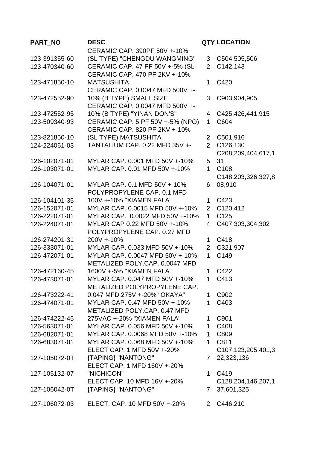| PART_NO       | <b>DESC</b>                      |                | <b>QTY LOCATION</b>                 |
|---------------|----------------------------------|----------------|-------------------------------------|
|               | CERAMIC CAP. 390PF 50V +-10%     |                |                                     |
| 123-391355-60 | (SL TYPE) "CHENGDU WANGMING"     | 3              | C504,505,506                        |
| 123-470340-60 | CERAMIC CAP. 47 PF 50V +-5% (SL  | $\overline{2}$ | C142,143                            |
|               | CERAMIC CAP. 470 PF 2KV +-10%    |                |                                     |
| 123-471850-10 | <b>MATSUSHITA</b>                | 1.             | C420                                |
|               | CERAMIC CAP. 0.0047 MFD 500V +-  |                |                                     |
| 123-472552-90 | 10% (B TYPE) SMALL SIZE          | 3              | C903,904,905                        |
|               | CERAMIC CAP. 0.0047 MFD 500V +-  |                |                                     |
| 123-472552-95 | 10% (B TYPE) "YINAN DON'S"       | 4              | C425,426,441,915                    |
| 123-509340-93 | CERAMIC CAP. 5 PF 50V +-5% (NPO) | $\mathbf{1}$   | C604                                |
|               | CERAMIC CAP. 820 PF 2KV +-10%    |                |                                     |
| 123-821850-10 | (SL TYPE) MATSUSHITA             | $\overline{2}$ | C501,916                            |
| 124-224061-03 | TANTALIUM CAP. 0.22 MFD 35V +-   | $\overline{2}$ | C126,130                            |
|               |                                  |                | C208,209,404,617,1                  |
| 126-102071-01 | MYLAR CAP, 0.001 MFD 50V +-10%   | 5              | 31                                  |
| 126-103071-01 | MYLAR CAP. 0.01 MFD 50V +-10%    | $\mathbf 1$    | C108                                |
|               |                                  |                | C148,203,326,327,8                  |
| 126-104071-01 | MYLAR CAP. 0.1 MFD 50V +-10%     | 6              | 08,910                              |
|               | POLYPROPYLENE CAP. 0.1 MFD       |                |                                     |
| 126-104101-35 | 100V +-10% "XIAMEN FALA"         | 1              | C423                                |
| 126-152071-01 | MYLAR CAP. 0.0015 MFD 50V +-10%  |                | 2 C120,412                          |
| 126-222071-01 | MYLAR CAP. 0.0022 MFD 50V +-10%  | $\mathbf{1}$   | C125                                |
| 126-224071-01 | MYLAR CAP 0.22 MFD 50V +-10%     | $\overline{4}$ | C407,303,304,302                    |
|               | POLYPROPYLENE CAP. 0.27 MFD      |                |                                     |
| 126-274201-31 | 200V +-10%                       | $\mathbf 1$    | C418                                |
| 126-333071-01 | MYLAR CAP, 0.033 MFD 50V +-10%   | $2^{\circ}$    | C321,907                            |
| 126-472071-01 | MYLAR CAP. 0.0047 MFD 50V +-10%  | $\mathbf{1}$   | C149                                |
|               | METALIZED POLY.CAP. 0.0047 MFD   |                |                                     |
| 126-472160-45 | 1600V +-5% "XIAMEN FALA"         | 1              | C422                                |
| 126-473071-01 | MYLAR CAP. 0.047 MFD 50V +-10%   |                | 1 C413                              |
|               | METALIZED POLYPROPYLENE CAP.     |                |                                     |
| 126-473222-41 | 0.047 MFD 275V +-20% "OKAYA"     | $\mathbf 1$    | C902                                |
| 126-474071-01 | MYLAR CAP. 0.47 MFD 50V +-10%    | $\mathbf 1$    | C403                                |
|               | METALIZED POLY.CAP. 0.47 MFD     |                |                                     |
| 126-474222-45 | 275VAC +-20% "XIAMEN FALA"       | 1.             | C901                                |
| 126-563071-01 | MYLAR CAP, 0.056 MFD 50V +-10%   |                | 1 C408                              |
| 126-682071-01 | MYLAR CAP. 0.0068 MFD 50V +-10%  |                | 1 C809                              |
| 126-683071-01 | MYLAR CAP. 0.068 MFD 50V +-10%   |                | 1 C811                              |
|               | ELECT CAP. 1 MFD 50V +-20%       |                | C <sub>107</sub> , 123, 205, 401, 3 |
| 127-105072-0T | {TAPING} "NANTONG"               |                | 7 22,323,136                        |
|               | ELECT CAP. 1 MFD 160V +-20%      |                |                                     |
| 127-105132-07 | "NICHICON"                       | 1.             | C419                                |
|               | ELECT CAP. 10 MFD 16V +-20%      |                | C128,204,146,207,1                  |
| 127-106042-0T | {TAPING} "NANTONG"               | 7 <sup>7</sup> | 37,601,325                          |
| 127-106072-03 | ELECT. CAP. 10 MFD 50V +-20%     | $2^{\circ}$    | C446,210                            |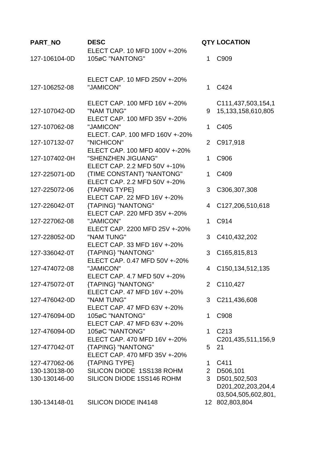| PART_NO       | <b>DESC</b>                    |                | <b>QTY LOCATION</b>              |
|---------------|--------------------------------|----------------|----------------------------------|
|               | ELECT CAP. 10 MFD 100V +-20%   |                |                                  |
| 127-106104-0D | 105øC "NANTONG"                | 1.             | C909                             |
|               |                                |                |                                  |
|               | ELECT CAP. 10 MFD 250V +-20%   |                |                                  |
| 127-106252-08 | "JAMICON"                      | $\mathbf 1$    | C424                             |
|               |                                |                |                                  |
|               | ELECT CAP. 100 MFD 16V +-20%   |                | C111,437,503,154,1               |
| 127-107042-0D | "NAM TUNG"                     | 9              | 15,133,158,610,805               |
|               | ELECT CAP. 100 MFD 35V +-20%   |                |                                  |
| 127-107062-08 | "JAMICON"                      | 1              | C405                             |
|               | ELECT. CAP. 100 MFD 160V +-20% |                |                                  |
| 127-107132-07 | "NICHICON"                     | $\overline{2}$ | C917,918                         |
|               | ELECT CAP. 100 MFD 400V +-20%  |                |                                  |
| 127-107402-0H | "SHENZHEN JIGUANG"             | 1              | C906                             |
|               | ELECT CAP. 2.2 MFD 50V +-10%   |                |                                  |
| 127-225071-0D | (TIME CONSTANT) "NANTONG"      | 1.             | C409                             |
|               | ELECT CAP. 2.2 MFD 50V +-20%   |                |                                  |
| 127-225072-06 | {TAPING TYPE}                  | 3              | C306,307,308                     |
|               | ELECT CAP. 22 MFD 16V +-20%    |                |                                  |
| 127-226042-0T | {TAPING} "NANTONG"             | $\overline{4}$ | C127,206,510,618                 |
|               | ELECT CAP. 220 MFD 35V +-20%   |                |                                  |
| 127-227062-08 | "JAMICON"                      | $\mathbf 1$    | C914                             |
|               | ELECT CAP. 2200 MFD 25V +-20%  |                |                                  |
|               |                                |                |                                  |
| 127-228052-0D | "NAM TUNG"                     | 3              | C410,432,202                     |
|               | ELECT CAP. 33 MFD 16V +-20%    |                |                                  |
| 127-336042-0T | {TAPING} "NANTONG"             | 3              | C165,815,813                     |
|               | ELECT CAP. 0.47 MFD 50V +-20%  |                |                                  |
| 127-474072-08 | "JAMICON"                      | 4              | C <sub>150</sub> , 134, 512, 135 |
|               | ELECT CAP. 4.7 MFD 50V +-20%   |                |                                  |
| 127-475072-0T | {TAPING} "NANTONG"             |                | 2 C110,427                       |
|               | ELECT CAP. 47 MFD 16V +-20%    |                |                                  |
| 127-476042-0D | "NAM TUNG"                     | 3              | C211,436,608                     |
|               | ELECT CAP. 47 MFD 63V +-20%    |                |                                  |
| 127-476094-0D | 105øC "NANTONG"                | 1              | C908                             |
|               | ELECT CAP. 47 MFD 63V +-20%    |                |                                  |
| 127-476094-0D | 105øC "NANTONG"                | $\mathbf{1}$   | C <sub>213</sub>                 |
|               | ELECT CAP. 470 MFD 16V +-20%   |                | C201,435,511,156,9               |
| 127-477042-0T | {TAPING} "NANTONG"             | 5              | 21                               |
|               | ELECT CAP. 470 MFD 35V +-20%   |                |                                  |
| 127-477062-06 | {TAPING TYPE}                  | 1              | C411                             |
| 130-130138-00 | SILICON DIODE 1SS138 ROHM      | $\overline{2}$ | D506,101                         |
| 130-130146-00 | SILICON DIODE 1SS146 ROHM      |                | 3 D501,502,503                   |
|               |                                |                | D201,202,203,204,4               |
|               |                                |                | 03,504,505,602,801,              |
| 130-134148-01 | SILICON DIODE IN4148           |                | 12 802,803,804                   |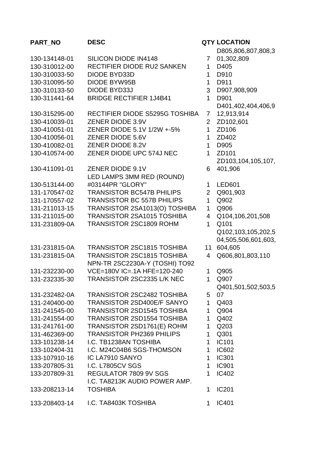# **PART\_NO DESC QTY LOCATION** 130-134148-01 SILICON DIODE IN4148 7 130-310012-00 RECTIFIER DIODE RU2 SANKEN 1 D405 130-310033-50 DIODE BYD33D 1 D910 130-310095-50 DIODE BYW95B 130-310095-50 130-310133-50 DIODE BYD33J 3 D907,908,909 130-311441-64 BRIDGE RECTIFIER 1J4B41 1 D901 130-315295-00 RECTIFIER DIODE S5295G TOSHIBA 7 130-410039-01 ZENER DIODE 3.9V 2 ZD102,601 130-410051-01 ZENER DIODE 5.1V 1/2W +-5% 1 ZD106 130-410056-01 ZENER DIODE 5.6V 1 ZD402 130-410082-01 ZENER DIODE 8.2V 1 D905 130-410574-00 ZENER DIODE UPC 574J NEC 1 ZD101 130-411091-01 ZENER DIODE 9.1V 6 130-513144-00 LED LAMPS 3MM RED (ROUND) #03144PR "GLORY" 1 LED601 131-170547-02 TRANSISTOR BC547B PHILIPS 2 Q901,903 131-170557-02 TRANSISTOR BC 557B PHILIPS 1 Q902 131-211013-15 TRANSISTOR 2SA1013(O) TOSHIBA 1 Q906 131-211015-00 TRANSISTOR 2SA1015 TOSHIBA 4 Q104,106,201,508 131-231809-0A TRANSISTOR 2SC1809 ROHM 1 Q101 131-231815-0A TRANSISTOR 2SC1815 TOSHIBA 11 131-231815-0A TRANSISTOR 2SC1815 TOSHIBA 4 Q606,801,803,110 131-232230-00 NPN-TR 2SC2230A-Y (TOSHI) TO92 VCE=180V IC=.1A HFE=120-240 1 Q905 131-232335-30 TRANSISTOR 2SC2335 L/K NEC 1 Q907 131-232482-0A TRANSISTOR 2SC2482 TOSHIBA 5 131-240400-00 TRANSISTOR 2SD400E/F SANYO 1 Q403 131-241545-00 TRANSISTOR 2SD1545 TOSHIBA 1 Q904 131-241554-00 TRANSISTOR 2SD1554 TOSHIBA 1 Q402 131-241761-00 TRANSISTOR 2SD1761(E) ROHM 1 Q203 131-462369-00 TRANSISTOR PH2369 PHILIPS 1 Q301 133-101238-14 I.C. TB1238AN TOSHIBA 1 IC101 133-102404-31 I.C. M24C04B6 SGS-THOMSON 1 IC602 133-107910-16 IC LA7910 SANYO 1 IC301 133-207805-31 I.C. L7805CV SGS 1 IC901 133-207809-31 REGULATOR 7809 9V SGS 1 IC402 133-208213-14 I.C. TA8213K AUDIO POWER AMP. TOSHIBA 1 IC201 133-208403-14 I.C. TA8403K TOSHIBA 133-208403-14

- D805,806,807,808,3
- 01,302,809
- 
- 
- 
- 
- - D401,402,404,406,9
- 12,913,914
- 
- 
- 
- 
- - ZD103,104,105,107,
- 401,906
- 
- 
- 
- 
- 
- Q102,103,105,202,5 04,505,506,601,603,
- 604,605
- 
- 
- - Q401,501,502,503,5
	- 07
- 
- 
- 
- 
- 
- 
- 
- 
- 
- 
- 
-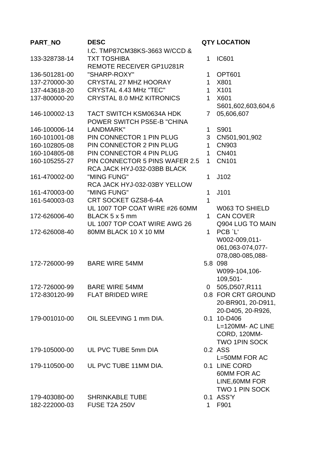| PART_NO       | <b>DESC</b>                                           |                | <b>QTY LOCATION</b>         |
|---------------|-------------------------------------------------------|----------------|-----------------------------|
|               | I.C. TMP87CM38KS-3663 W/CCD &                         |                |                             |
| 133-328738-14 | <b>TXT TOSHIBA</b>                                    | 1              | <b>IC601</b>                |
|               | <b>REMOTE RECEIVER GP1U281R</b>                       |                |                             |
| 136-501281-00 | "SHARP-ROXY"                                          | 1              | <b>OPT601</b>               |
| 137-270000-30 | <b>CRYSTAL 27 MHZ HOORAY</b>                          | $\mathbf{1}$   | X801                        |
| 137-443618-20 | CRYSTAL 4.43 MHz "TEC"                                | $\mathbf{1}$   | X101                        |
| 137-800000-20 | <b>CRYSTAL 8.0 MHZ KITRONICS</b>                      | $\mathbf{1}$   | X601                        |
|               |                                                       |                | S601,602,603,604,6          |
| 146-100002-13 | <b>TACT SWITCH KSM0634A HDK</b>                       | $\overline{7}$ | 05,606,607                  |
|               | POWER SWITCH PS5E-B "CHINA                            |                |                             |
| 146-100006-14 | LANDMARK"                                             | 1              | S901                        |
| 160-101001-08 | PIN CONNECTOR 1 PIN PLUG                              | 3              | CN501,901,902               |
| 160-102805-08 | PIN CONNECTOR 2 PIN PLUG                              | $\mathbf 1$    | <b>CN903</b>                |
| 160-104805-08 | PIN CONNECTOR 4 PIN PLUG                              | $\mathbf{1}$   | <b>CN401</b>                |
| 160-105255-27 | <b>PIN CONNECTOR 5 PINS WAFER 2.5</b>                 | $\mathbf{1}$   | <b>CN101</b>                |
|               | RCA JACK HYJ-032-03BB BLACK                           |                |                             |
| 161-470002-00 | "MING FUNG"                                           | 1              | J102                        |
|               | RCA JACK HYJ-032-03BY YELLOW                          |                |                             |
| 161-470003-00 | "MING FUNG"                                           | $\mathbf{1}$   | J101                        |
| 161-540003-03 | CRT SOCKET GZS8-6-4A                                  | 1              |                             |
|               | UL 1007 TOP COAT WIRE #26 60MM                        |                | W063 TO SHIELD              |
| 172-626006-40 | BLACK 5 x 5 mm                                        | $\mathbf{1}$   | <b>CAN COVER</b>            |
|               | UL 1007 TOP COAT WIRE AWG 26<br>80MM BLACK 10 X 10 MM | $\mathbf 1$    | Q904 LUG TO MAIN<br>PCB `L' |
| 172-626008-40 |                                                       |                | W002-009,011-               |
|               |                                                       |                | 061,063-074,077-            |
|               |                                                       |                | 078,080-085,088-            |
| 172-726000-99 | <b>BARE WIRE 54MM</b>                                 |                | 5.8 098                     |
|               |                                                       |                | W099-104,106-               |
|               |                                                       |                | 109,501-                    |
| 172-726000-99 | <b>BARE WIRE 54MM</b>                                 |                | 0 505, D507, R111           |
| 172-830120-99 | <b>FLAT BRIDED WIRE</b>                               |                | 0.8 FOR CRT GROUND          |
|               |                                                       |                | 20-BR901, 20-D911,          |
|               |                                                       |                | 20-D405, 20-R926,           |
| 179-001010-00 | OIL SLEEVING 1 mm DIA.                                |                | 0.1 10-D406                 |
|               |                                                       |                | L=120MM- AC LINE            |
|               |                                                       |                | <b>CORD, 120MM-</b>         |
|               |                                                       |                | <b>TWO 1PIN SOCK</b>        |
| 179-105000-00 | UL PVC TUBE 5mm DIA                                   |                | 0.2 ASS                     |
|               |                                                       |                | L=50MM FOR AC               |
| 179-110500-00 | UL PVC TUBE 11MM DIA.                                 |                | 0.1 LINE CORD               |
|               |                                                       |                | 60MM FOR AC                 |
|               |                                                       |                | LINE, 60MM FOR              |
|               |                                                       |                | <b>TWO 1 PIN SOCK</b>       |
| 179-403080-00 | <b>SHRINKABLE TUBE</b>                                |                | 0.1 ASS'Y                   |
| 182-222000-03 | <b>FUSE T2A 250V</b>                                  | $\mathbf{1}$   | F901                        |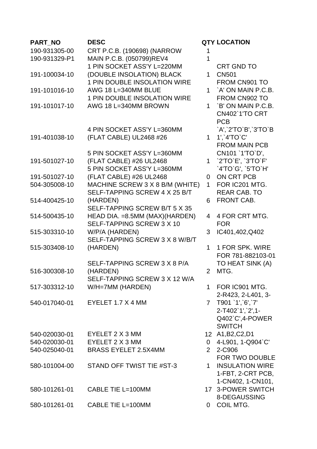| <b>PART NO</b> | <b>DESC</b>                         |              | <b>QTY LOCATION</b>    |
|----------------|-------------------------------------|--------------|------------------------|
| 190-931305-00  | CRT P.C.B. (190698) (NARROW         |              |                        |
| 190-931329-P1  | MAIN P.C.B. (050799)REV4            | 1            |                        |
|                | 1 PIN SOCKET ASS'Y L=220MM          |              | <b>CRT GND TO</b>      |
| 191-100034-10  | (DOUBLE INSOLATION) BLACK           | 1            | <b>CN501</b>           |
|                | 1 PIN DOUBLE INSOLATION WIRE        |              | FROM CN901 TO          |
| 191-101016-10  | AWG 18 L=340MM BLUE                 | 1            | `A' ON MAIN P.C.B.     |
|                | <b>1 PIN DOUBLE INSOLATION WIRE</b> |              | FROM CN902 TO          |
| 191-101017-10  | AWG 18 L=340MM BROWN                | $\mathbf{1}$ | `B' ON MAIN P.C.B.     |
|                |                                     |              | <b>CN402`1'TO CRT</b>  |
|                |                                     |              | <b>PCB</b>             |
|                | 4 PIN SOCKET ASS'Y L=360MM          |              | `A',`2'TO`B',`3'TO`B   |
| 191-401038-10  | (FLAT CABLE) UL2468 #26             | $\mathbf{1}$ | 1','4'TO'C'            |
|                |                                     |              | <b>FROM MAIN PCB</b>   |
|                | 5 PIN SOCKET ASS'Y L=360MM          |              | CN101 '1'TO'D',        |
| 191-501027-10  | (FLAT CABLE) #26 UL2468             |              | 1 2'TO'E', '3'TO'F'    |
|                | 5 PIN SOCKET ASS'Y L=360MM          |              | `4'TO`G', `5'TO`H'     |
| 191-501027-10  | (FLAT CABLE) #26 UL2468             | $\Omega$     | ON CRT PCB             |
| 504-305008-10  | MACHINE SCREW 3 X 8 B/M (WHITE)     | $\mathbf{1}$ | FOR IC201 MTG.         |
|                | SELF-TAPPING SCREW 4 X 25 B/T       |              | <b>REAR CAB. TO</b>    |
| 514-400425-10  | (HARDEN)                            | 6            | FRONT CAB.             |
|                | SELF-TAPPING SCREW B/T 5 X 35       |              |                        |
| 514-500435-10  | HEAD DIA. = 8.5MM (MAX)(HARDEN)     | 4            | 4 FOR CRT MTG.         |
|                | SELF-TAPPING SCREW 3 X 10           |              | <b>FOR</b>             |
| 515-303310-10  | W/P/A (HARDEN)                      | 3            | IC401,402,Q402         |
|                | SELF-TAPPING SCREW 3 X 8 W/B/T      |              |                        |
| 515-303408-10  | (HARDEN)                            | $\mathbf{1}$ | 1 FOR SPK. WIRE        |
|                |                                     |              | FOR 781-882103-01      |
|                | SELF-TAPPING SCREW 3 X 8 P/A        |              | TO HEAT SINK (A)       |
| 516-300308-10  | (HARDEN)                            | 2            | MTG.                   |
|                | SELF-TAPPING SCREW 3 X 12 W/A       |              |                        |
| 517-303312-10  | $W/H = 7MM$ (HARDEN)                | $\mathbf 1$  | FOR IC901 MTG.         |
|                |                                     |              | 2-R423, 2-L401, 3-     |
| 540-017040-01  | EYELET $1.7 \times 4$ MM            |              | 7 T901 '1', 6', '7'    |
|                |                                     |              | 2-T402`1',`2',1-       |
|                |                                     |              | Q402`C',4-POWER        |
|                |                                     |              | <b>SWITCH</b>          |
| 540-020030-01  | EYELET 2 X 3 MM                     |              | 12 A1, B2, C2, D1      |
| 540-020030-01  | EYELET 2 X 3 MM                     |              | 0 4-L901, 1-Q904`C'    |
| 540-025040-01  | <b>BRASS EYELET 2.5X4MM</b>         |              | 2 2-C906               |
|                |                                     |              | FOR TWO DOUBLE         |
| 580-101004-00  | STAND OFF TWIST TIE #ST-3           | $\mathbf 1$  | <b>INSULATION WIRE</b> |
|                |                                     |              | 1-FBT, 2-CRT PCB,      |
|                |                                     |              | 1-CN402, 1-CN101,      |
| 580-101261-01  | CABLE TIE L=100MM                   |              | 17 3-POWER SWITCH      |
|                |                                     |              | 8-DEGAUSSING           |
| 580-101261-01  | CABLE TIE L=100MM                   |              | 0 COIL MTG.            |
|                |                                     |              |                        |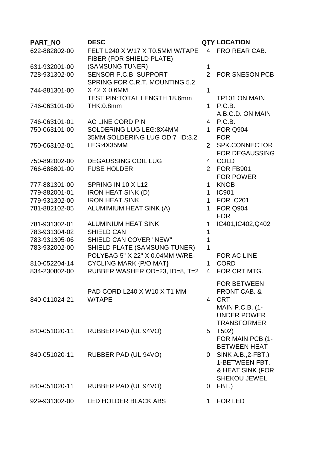| <b>PART NO</b> | <b>DESC</b>                                                     |                              | <b>QTY LOCATION</b>                          |
|----------------|-----------------------------------------------------------------|------------------------------|----------------------------------------------|
| 622-882802-00  | FELT L240 X W17 X T0.5MM W/TAPE<br>FIBER (FOR SHIELD PLATE)     |                              | 4 FRO REAR CAB.                              |
| 631-932001-00  | (SAMSUNG TUNER)                                                 | $\mathbf 1$                  |                                              |
| 728-931302-00  | <b>SENSOR P.C.B. SUPPORT</b>                                    | $\overline{2}$               | <b>FOR SNESON PCB</b>                        |
|                | SPRING FOR C.R.T. MOUNTING 5.2                                  |                              |                                              |
| 744-881301-00  | X 42 X 0.6MM                                                    | 1                            |                                              |
|                | <b>TEST PIN: TOTAL LENGTH 18.6mm</b>                            |                              | <b>TP101 ON MAIN</b>                         |
| 746-063101-00  | <b>THK:0.8mm</b>                                                |                              | 1 P.C.B.                                     |
|                |                                                                 |                              | A.B.C.D. ON MAIN                             |
| 746-063101-01  | AC LINE CORD PIN                                                |                              | 4 P.C.B.                                     |
| 750-063101-00  | <b>SOLDERING LUG LEG:8X4MM</b>                                  | $1 \quad$                    | <b>FOR Q904</b>                              |
|                | 35MM SOLDERING LUG OD:7 ID:3.2                                  |                              | <b>FOR</b>                                   |
| 750-063102-01  | LEG:4X35MM                                                      | $\overline{2}$               | SPK.CONNECTOR                                |
|                |                                                                 |                              | <b>FOR DEGAUSSING</b>                        |
| 750-892002-00  | <b>DEGAUSSING COIL LUG</b>                                      | 4                            | <b>COLD</b>                                  |
| 766-686801-00  | <b>FUSE HOLDER</b>                                              |                              | 2 FOR FB901                                  |
|                |                                                                 |                              | <b>FOR POWER</b>                             |
| 777-881301-00  | SPRING IN 10 X L12                                              | $1 \quad$                    | <b>KNOB</b>                                  |
| 779-882001-01  | <b>IRON HEAT SINK (D)</b>                                       | 1                            | <b>IC901</b>                                 |
| 779-931302-00  | <b>IRON HEAT SINK</b>                                           |                              | 1 FOR IC201                                  |
| 781-882102-05  | ALUMIMIUM HEAT SINK (A)                                         |                              | 1 FOR Q904                                   |
|                |                                                                 |                              | <b>FOR</b>                                   |
| 781-931302-01  | <b>ALUMINIUM HEAT SINK</b>                                      | 1                            | IC401, IC402, Q402                           |
| 783-931304-02  | <b>SHIELD CAN</b>                                               | 1                            |                                              |
| 783-931305-06  | <b>SHIELD CAN COVER "NEW"</b>                                   | $\mathbf{1}$<br>$\mathbf{1}$ |                                              |
| 783-932002-00  | SHIELD PLATE (SAMSUNG TUNER)<br>POLYBAG 5" X 22" X 0.04MM W/RE- |                              | FOR AC LINE                                  |
| 810-052204-14  | <b>CYCLING MARK {P/O MAT}</b>                                   | 1                            | <b>CORD</b>                                  |
| 834-230802-00  | RUBBER WASHER OD=23, ID=8, T=2                                  | $\overline{4}$               | FOR CRT MTG.                                 |
|                |                                                                 |                              |                                              |
|                |                                                                 |                              | <b>FOR BETWEEN</b>                           |
| 840-011024-21  | PAD CORD L240 X W10 X T1 MM<br><b>W/TAPE</b>                    |                              | <b>FRONT CAB. &amp;</b><br>4 CRT             |
|                |                                                                 |                              |                                              |
|                |                                                                 |                              | <b>MAIN P.C.B. (1-</b><br><b>UNDER POWER</b> |
|                |                                                                 |                              | <b>TRANSFORMER</b>                           |
| 840-051020-11  | RUBBER PAD (UL 94VO)                                            | 5                            | T502)                                        |
|                |                                                                 |                              | FOR MAIN PCB (1-                             |
|                |                                                                 |                              | <b>BETWEEN HEAT</b>                          |
| 840-051020-11  | RUBBER PAD (UL 94VO)                                            |                              | $0$ SINK A.B., 2-FBT.)                       |
|                |                                                                 |                              | 1-BETWEEN FBT.                               |
|                |                                                                 |                              | & HEAT SINK (FOR                             |
|                |                                                                 |                              | <b>SHEKOU JEWEL</b>                          |
| 840-051020-11  | RUBBER PAD (UL 94VO)                                            | 0                            | FBT.)                                        |
|                |                                                                 |                              |                                              |
| 929-931302-00  | LED HOLDER BLACK ABS                                            | 1.                           | <b>FOR LED</b>                               |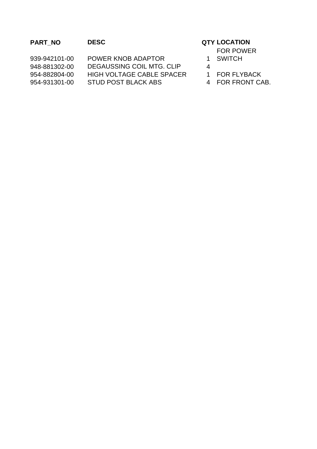## **PART\_NO DESC QTY LOCATION**

939-942101-00 POWER KNOB ADAPTOR 1 948-881302-00 DEGAUSSING COIL MTG. CLIP 4 954-882804-00 HIGH VOLTAGE CABLE SPACER 1 FOR FLYBACK 954-931301-00 STUD POST BLACK ABS 4 FOR FRONT CAB.

- FOR POWER
- 1 SWITCH
- 
- 
-